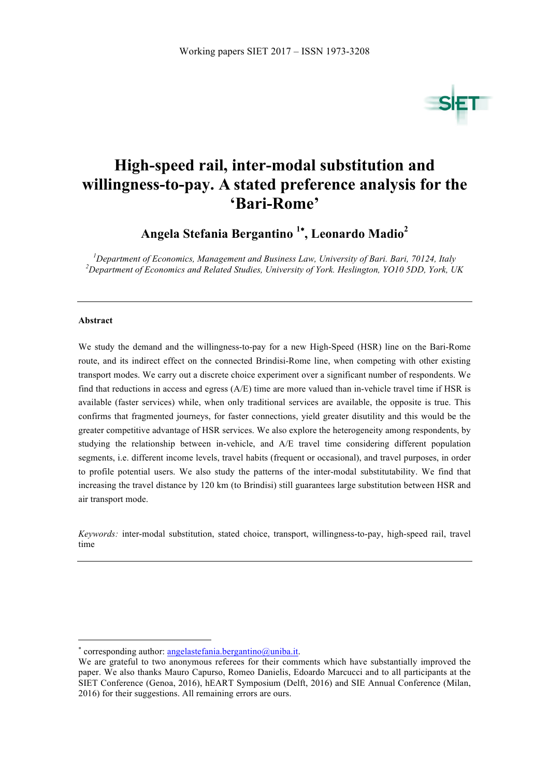

# **High-speed rail, inter-modal substitution and willingness-to-pay. A stated preference analysis for the 'Bari-Rome'**

**Angela Stefania Bergantino <sup>1</sup>**\* **, Leonardo Madio<sup>2</sup>**

*1 Department of Economics, Management and Business Law, University of Bari. Bari, 70124, Italy <sup>2</sup> Department of Economics and Related Studies, University of York. Heslington, YO10 5DD, York, UK*

#### **Abstract**

 $\overline{a}$ 

We study the demand and the willingness-to-pay for a new High-Speed (HSR) line on the Bari-Rome route, and its indirect effect on the connected Brindisi-Rome line, when competing with other existing transport modes. We carry out a discrete choice experiment over a significant number of respondents. We find that reductions in access and egress (A/E) time are more valued than in-vehicle travel time if HSR is available (faster services) while, when only traditional services are available, the opposite is true. This confirms that fragmented journeys, for faster connections, yield greater disutility and this would be the greater competitive advantage of HSR services. We also explore the heterogeneity among respondents, by studying the relationship between in-vehicle, and A/E travel time considering different population segments, i.e. different income levels, travel habits (frequent or occasional), and travel purposes, in order to profile potential users. We also study the patterns of the inter-modal substitutability. We find that increasing the travel distance by 120 km (to Brindisi) still guarantees large substitution between HSR and air transport mode.

*Keywords:* inter-modal substitution, stated choice, transport, willingness-to-pay, high-speed rail, travel time

 $*$  corresponding author: angelastefania.bergantino@uniba.it.

We are grateful to two anonymous referees for their comments which have substantially improved the paper. We also thanks Mauro Capurso, Romeo Danielis, Edoardo Marcucci and to all participants at the SIET Conference (Genoa, 2016), hEART Symposium (Delft, 2016) and SIE Annual Conference (Milan, 2016) for their suggestions. All remaining errors are ours.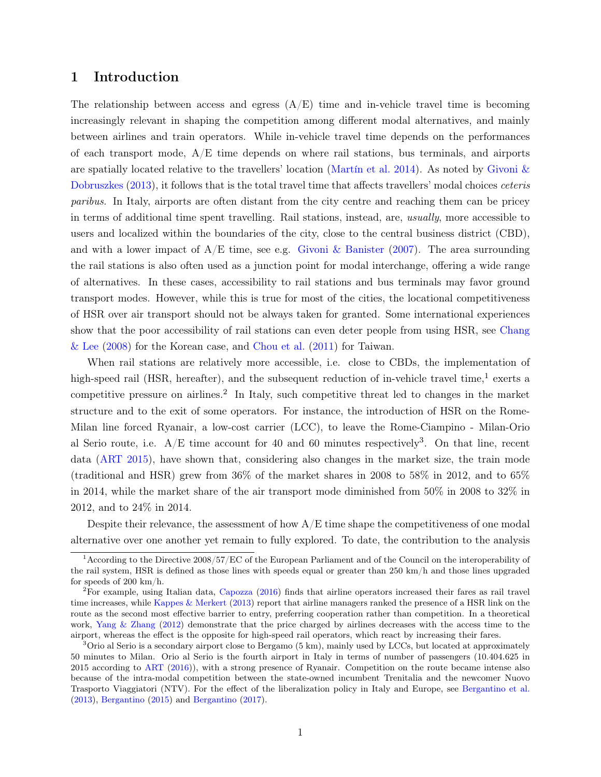## <span id="page-1-0"></span>1 Introduction

The relationship between access and egress  $(A/E)$  time and in-vehicle travel time is becoming increasingly relevant in shaping the competition among different modal alternatives, and mainly between airlines and train operators. While in-vehicle travel time depends on the performances of each transport mode,  $A/E$  time depends on where rail stations, bus terminals, and airports are spatially located relative to the travellers' location [\(Martín et al.](#page-25-0) [2014\)](#page-25-0). As noted by Givoni  $\&$ [Dobruszkes](#page-24-0) [\(2013\)](#page-24-0), it follows that is the total travel time that affects travellers' modal choices ceteris paribus. In Italy, airports are often distant from the city centre and reaching them can be pricey in terms of additional time spent travelling. Rail stations, instead, are, usually, more accessible to users and localized within the boundaries of the city, close to the central business district (CBD), and with a lower impact of  $A/E$  time, see e.g. [Givoni & Banister](#page-24-0) [\(2007\)](#page-24-0). The area surrounding the rail stations is also often used as a junction point for modal interchange, offering a wide range of alternatives. In these cases, accessibility to rail stations and bus terminals may favor ground transport modes. However, while this is true for most of the cities, the locational competitiveness of HSR over air transport should not be always taken for granted. Some international experiences show that the poor accessibility of rail stations can even deter people from using HSR, see [Chang](#page-24-0) [& Lee](#page-24-0) [\(2008\)](#page-24-0) for the Korean case, and [Chou et al.](#page-24-0) [\(2011\)](#page-24-0) for Taiwan.

When rail stations are relatively more accessible, i.e. close to CBDs, the implementation of high-speed rail (HSR, hereafter), and the subsequent reduction of in-vehicle travel time,<sup>1</sup> exerts a competitive pressure on airlines.<sup>2</sup> In Italy, such competitive threat led to changes in the market structure and to the exit of some operators. For instance, the introduction of HSR on the Rome-Milan line forced Ryanair, a low-cost carrier (LCC), to leave the Rome-Ciampino - Milan-Orio al Serio route, i.e.  $A/E$  time account for 40 and 60 minutes respectively<sup>3</sup>. On that line, recent data [\(ART](#page-23-0) [2015\)](#page-23-0), have shown that, considering also changes in the market size, the train mode (traditional and HSR) grew from 36% of the market shares in 2008 to 58% in 2012, and to 65% in 2014, while the market share of the air transport mode diminished from 50% in 2008 to 32% in 2012, and to 24% in 2014.

Despite their relevance, the assessment of how  $A/E$  time shape the competitiveness of one modal alternative over one another yet remain to fully explored. To date, the contribution to the analysis

 $1$ According to the Directive 2008/57/EC of the European Parliament and of the Council on the interoperability of the rail system, HSR is defined as those lines with speeds equal or greater than 250 km/h and those lines upgraded for speeds of 200  $\rm km/h.$ 

<sup>2</sup>For example, using Italian data, [Capozza](#page-24-0) [\(2016\)](#page-24-0) finds that airline operators increased their fares as rail travel time increases, while [Kappes & Merkert](#page-25-0) [\(2013\)](#page-25-0) report that airline managers ranked the presence of a HSR link on the route as the second most effective barrier to entry, preferring cooperation rather than competition. In a theoretical work, [Yang & Zhang](#page-27-0) [\(2012\)](#page-27-0) demonstrate that the price charged by airlines decreases with the access time to the airport, whereas the effect is the opposite for high-speed rail operators, which react by increasing their fares.

 $3$ Orio al Serio is a secondary airport close to Bergamo  $(5 \text{ km})$ , mainly used by LCCs, but located at approximately 50 minutes to Milan. Orio al Serio is the fourth airport in Italy in terms of number of passengers (10.404.625 in 2015 according to [ART](#page-23-0) [\(2016\)](#page-23-0)), with a strong presence of Ryanair. Competition on the route became intense also because of the intra-modal competition between the state-owned incumbent Trenitalia and the newcomer Nuovo Trasporto Viaggiatori (NTV). For the effect of the liberalization policy in Italy and Europe, see [Bergantino et al.](#page-23-0) [\(2013\)](#page-23-0), [Bergantino](#page-23-0) [\(2015\)](#page-23-0) and [Bergantino](#page-23-0) [\(2017\)](#page-23-0).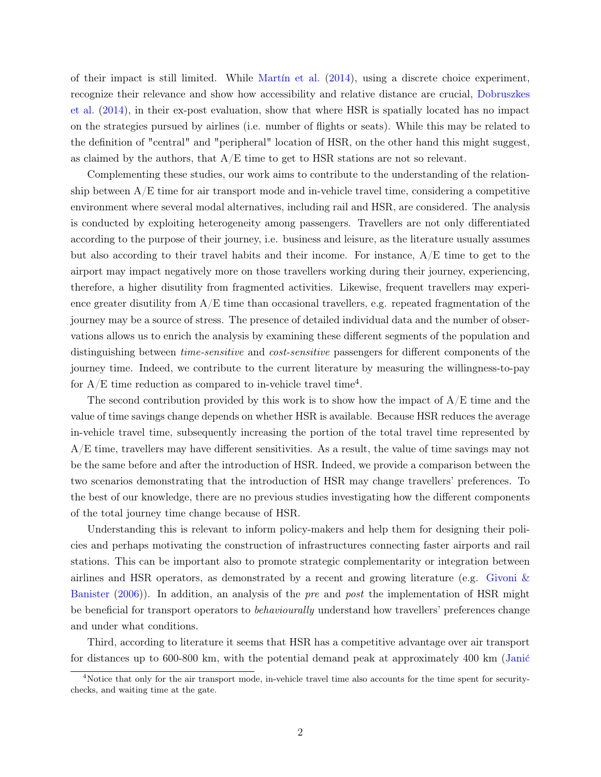of their impact is still limited. While [Martín et al.](#page-25-0) [\(2014\)](#page-25-0), using a discrete choice experiment, recognize their relevance and show how accessibility and relative distance are crucial, [Dobruszkes](#page-24-0) [et al.](#page-24-0) [\(2014\)](#page-24-0), in their ex-post evaluation, show that where HSR is spatially located has no impact on the strategies pursued by airlines (i.e. number of flights or seats). While this may be related to the definition of "central" and "peripheral" location of HSR, on the other hand this might suggest, as claimed by the authors, that  $A/E$  time to get to HSR stations are not so relevant.

Complementing these studies, our work aims to contribute to the understanding of the relationship between  $A/E$  time for air transport mode and in-vehicle travel time, considering a competitive environment where several modal alternatives, including rail and HSR, are considered. The analysis is conducted by exploiting heterogeneity among passengers. Travellers are not only differentiated according to the purpose of their journey, i.e. business and leisure, as the literature usually assumes but also according to their travel habits and their income. For instance,  $A/E$  time to get to the airport may impact negatively more on those travellers working during their journey, experiencing, therefore, a higher disutility from fragmented activities. Likewise, frequent travellers may experience greater disutility from  $A/E$  time than occasional travellers, e.g. repeated fragmentation of the journey may be a source of stress. The presence of detailed individual data and the number of observations allows us to enrich the analysis by examining these different segments of the population and distinguishing between *time-sensitive* and *cost-sensitive* passengers for different components of the journey time. Indeed, we contribute to the current literature by measuring the willingness-to-pay for  $A/E$  time reduction as compared to in-vehicle travel time<sup>[4](#page-1-0)</sup>.

The second contribution provided by this work is to show how the impact of  $A/E$  time and the value of time savings change depends on whether HSR is available. Because HSR reduces the average in-vehicle travel time, subsequently increasing the portion of the total travel time represented by A/E time, travellers may have different sensitivities. As a result, the value of time savings may not be the same before and after the introduction of HSR. Indeed, we provide a comparison between the two scenarios demonstrating that the introduction of HSR may change travellers' preferences. To the best of our knowledge, there are no previous studies investigating how the different components of the total journey time change because of HSR.

Understanding this is relevant to inform policy-makers and help them for designing their policies and perhaps motivating the construction of infrastructures connecting faster airports and rail stations. This can be important also to promote strategic complementarity or integration between airlines and HSR operators, as demonstrated by a recent and growing literature (e.g. Givoni  $\&$ [Banister](#page-24-0)  $(2006)$ ). In addition, an analysis of the *pre* and *post* the implementation of HSR might be beneficial for transport operators to *behaviourally* understand how travellers' preferences change and under what conditions.

Third, according to literature it seems that HSR has a competitive advantage over air transport for distances up to 600-800 km, with the potential demand peak at approximately 400 km [\(Janić](#page-25-0)

<sup>&</sup>lt;sup>4</sup>Notice that only for the air transport mode, in-vehicle travel time also accounts for the time spent for securitychecks, and waiting time at the gate.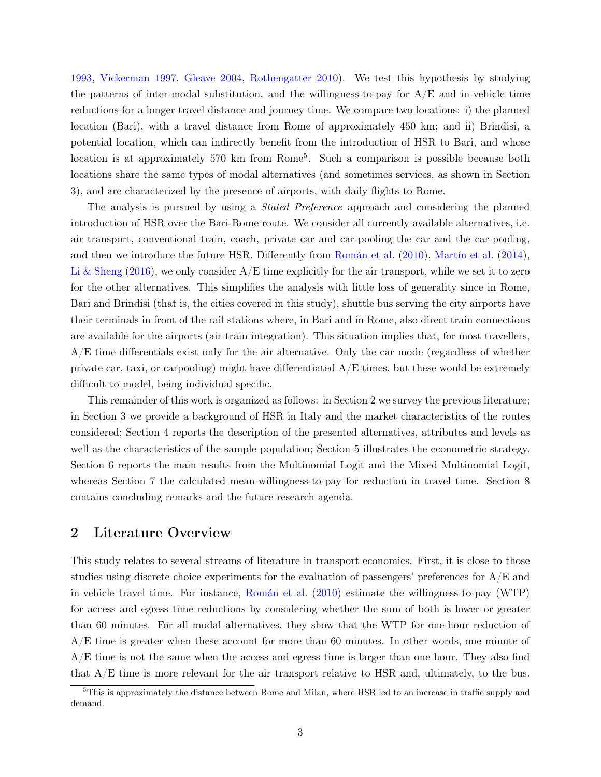[1993,](#page-25-0) [Vickerman](#page-26-0) [1997,](#page-26-0) [Gleave](#page-25-0) [2004,](#page-25-0) [Rothengatter](#page-26-0) [2010\)](#page-26-0). We test this hypothesis by studying the patterns of inter-modal substitution, and the willingness-to-pay for  $A/E$  and in-vehicle time reductions for a longer travel distance and journey time. We compare two locations: i) the planned location (Bari), with a travel distance from Rome of approximately 450 km; and ii) Brindisi, a potential location, which can indirectly benefit from the introduction of HSR to Bari, and whose location is at approximately [5](#page-1-0)70 km from Rome<sup>5</sup>. Such a comparison is possible because both locations share the same types of modal alternatives (and sometimes services, as shown in Section [3\)](#page-6-0), and are characterized by the presence of airports, with daily flights to Rome.

The analysis is pursued by using a Stated Preference approach and considering the planned introduction of HSR over the Bari-Rome route. We consider all currently available alternatives, i.e. air transport, conventional train, coach, private car and car-pooling the car and the car-pooling, and then we introduce the future HSR. Differently from [Román et al.](#page-26-0) [\(2010\)](#page-26-0), [Martín et al.](#page-25-0) [\(2014\)](#page-25-0), [Li & Sheng](#page-25-0) [\(2016\)](#page-25-0), we only consider  $A/E$  time explicitly for the air transport, while we set it to zero for the other alternatives. This simplifies the analysis with little loss of generality since in Rome, Bari and Brindisi (that is, the cities covered in this study), shuttle bus serving the city airports have their terminals in front of the rail stations where, in Bari and in Rome, also direct train connections are available for the airports (air-train integration). This situation implies that, for most travellers, A/E time differentials exist only for the air alternative. Only the car mode (regardless of whether private car, taxi, or carpooling) might have differentiated  $A/E$  times, but these would be extremely difficult to model, being individual specific.

This remainder of this work is organized as follows: in Section 2 we survey the previous literature; in Section [3](#page-6-0) we provide a background of HSR in Italy and the market characteristics of the routes considered; Section [4](#page-7-0) reports the description of the presented alternatives, attributes and levels as well as the characteristics of the sample population; Section [5](#page-10-0) illustrates the econometric strategy. Section [6](#page-10-0) reports the main results from the Multinomial Logit and the Mixed Multinomial Logit, whereas Section [7](#page-20-0) the calculated mean-willingness-to-pay for reduction in travel time. Section 8 contains concluding remarks and the future research agenda.

### 2 Literature Overview

This study relates to several streams of literature in transport economics. First, it is close to those studies using discrete choice experiments for the evaluation of passengers' preferences for  $A/E$  and in-vehicle travel time. For instance, [Román et al.](#page-26-0) [\(2010\)](#page-26-0) estimate the willingness-to-pay (WTP) for access and egress time reductions by considering whether the sum of both is lower or greater than 60 minutes. For all modal alternatives, they show that the WTP for one-hour reduction of A/E time is greater when these account for more than 60 minutes. In other words, one minute of A/E time is not the same when the access and egress time is larger than one hour. They also find that A/E time is more relevant for the air transport relative to HSR and, ultimately, to the bus.

 $5$ This is approximately the distance between Rome and Milan, where HSR led to an increase in traffic supply and demand.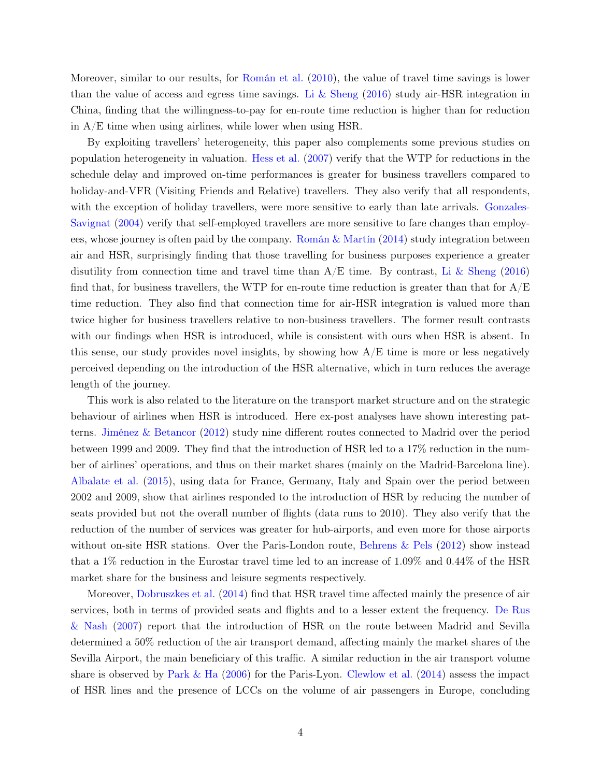Moreover, similar to our results, for [Román et al.](#page-26-0) [\(2010\)](#page-26-0), the value of travel time savings is lower than the value of access and egress time savings. [Li & Sheng](#page-25-0)  $(2016)$  study air-HSR integration in China, finding that the willingness-to-pay for en-route time reduction is higher than for reduction in A/E time when using airlines, while lower when using HSR.

By exploiting travellers' heterogeneity, this paper also complements some previous studies on population heterogeneity in valuation. [Hess et al.](#page-25-0) [\(2007\)](#page-25-0) verify that the WTP for reductions in the schedule delay and improved on-time performances is greater for business travellers compared to holiday-and-VFR (Visiting Friends and Relative) travellers. They also verify that all respondents, with the exception of holiday travellers, were more sensitive to early than late arrivals. [Gonzales-](#page-25-0)[Savignat](#page-25-0) [\(2004\)](#page-25-0) verify that self-employed travellers are more sensitive to fare changes than employees, whose journey is often paid by the company. [Román & Martín](#page-26-0) [\(2014\)](#page-26-0) study integration between air and HSR, surprisingly finding that those travelling for business purposes experience a greater disutility from connection time and travel time than  $A/E$  time. By contrast, [Li & Sheng](#page-25-0) [\(2016\)](#page-25-0) find that, for business travellers, the WTP for en-route time reduction is greater than that for  $A/E$ time reduction. They also find that connection time for air-HSR integration is valued more than twice higher for business travellers relative to non-business travellers. The former result contrasts with our findings when HSR is introduced, while is consistent with ours when HSR is absent. In this sense, our study provides novel insights, by showing how  $A/E$  time is more or less negatively perceived depending on the introduction of the HSR alternative, which in turn reduces the average length of the journey.

This work is also related to the literature on the transport market structure and on the strategic behaviour of airlines when HSR is introduced. Here ex-post analyses have shown interesting patterns. [Jiménez & Betancor](#page-25-0) [\(2012\)](#page-25-0) study nine different routes connected to Madrid over the period between 1999 and 2009. They find that the introduction of HSR led to a 17% reduction in the number of airlines' operations, and thus on their market shares (mainly on the Madrid-Barcelona line). [Albalate et al.](#page-23-0) [\(2015\)](#page-23-0), using data for France, Germany, Italy and Spain over the period between 2002 and 2009, show that airlines responded to the introduction of HSR by reducing the number of seats provided but not the overall number of flights (data runs to 2010). They also verify that the reduction of the number of services was greater for hub-airports, and even more for those airports without on-site HSR stations. Over the Paris-London route, [Behrens & Pels](#page-23-0) [\(2012\)](#page-23-0) show instead that a 1% reduction in the Eurostar travel time led to an increase of 1.09% and 0.44% of the HSR market share for the business and leisure segments respectively.

Moreover, [Dobruszkes et al.](#page-24-0) [\(2014\)](#page-24-0) find that HSR travel time affected mainly the presence of air services, both in terms of provided seats and flights and to a lesser extent the frequency. [De Rus](#page-24-0) [& Nash](#page-24-0) [\(2007\)](#page-24-0) report that the introduction of HSR on the route between Madrid and Sevilla determined a 50% reduction of the air transport demand, affecting mainly the market shares of the Sevilla Airport, the main beneficiary of this traffic. A similar reduction in the air transport volume share is observed by [Park & Ha](#page-26-0) [\(2006\)](#page-26-0) for the Paris-Lyon. [Clewlow et al.](#page-24-0) [\(2014\)](#page-24-0) assess the impact of HSR lines and the presence of LCCs on the volume of air passengers in Europe, concluding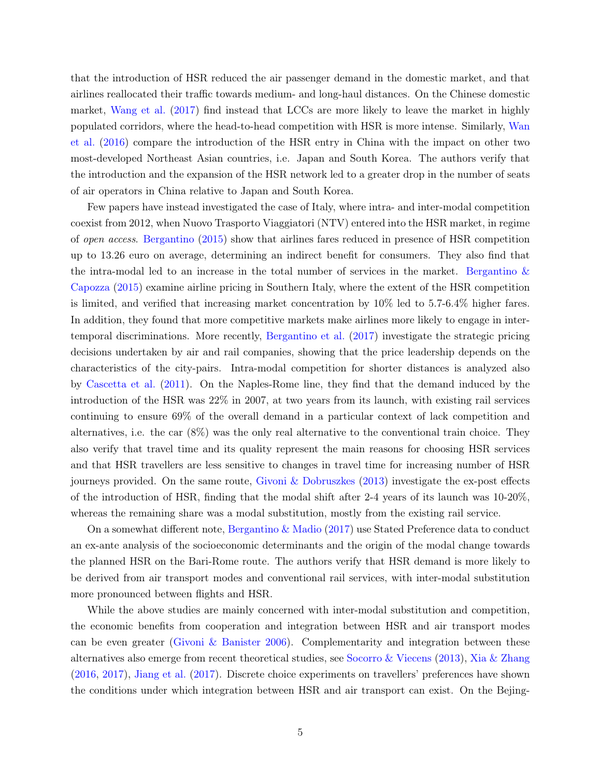that the introduction of HSR reduced the air passenger demand in the domestic market, and that airlines reallocated their traffic towards medium- and long-haul distances. On the Chinese domestic market, [Wang et al.](#page-26-0) [\(2017\)](#page-26-0) find instead that LCCs are more likely to leave the market in highly populated corridors, where the head-to-head competition with HSR is more intense. Similarly, [Wan](#page-26-0) [et al.](#page-26-0) [\(2016\)](#page-26-0) compare the introduction of the HSR entry in China with the impact on other two most-developed Northeast Asian countries, i.e. Japan and South Korea. The authors verify that the introduction and the expansion of the HSR network led to a greater drop in the number of seats of air operators in China relative to Japan and South Korea.

Few papers have instead investigated the case of Italy, where intra- and inter-modal competition coexist from 2012, when Nuovo Trasporto Viaggiatori (NTV) entered into the HSR market, in regime of open access. [Bergantino](#page-23-0) [\(2015\)](#page-23-0) show that airlines fares reduced in presence of HSR competition up to 13.26 euro on average, determining an indirect benefit for consumers. They also find that the intra-modal led to an increase in the total number of services in the market. Bergantino  $\&$ [Capozza](#page-23-0) [\(2015\)](#page-23-0) examine airline pricing in Southern Italy, where the extent of the HSR competition is limited, and verified that increasing market concentration by 10% led to 5.7-6.4% higher fares. In addition, they found that more competitive markets make airlines more likely to engage in intertemporal discriminations. More recently, [Bergantino et al.](#page-23-0) [\(2017\)](#page-23-0) investigate the strategic pricing decisions undertaken by air and rail companies, showing that the price leadership depends on the characteristics of the city-pairs. Intra-modal competition for shorter distances is analyzed also by [Cascetta et al.](#page-24-0) [\(2011\)](#page-24-0). On the Naples-Rome line, they find that the demand induced by the introduction of the HSR was 22% in 2007, at two years from its launch, with existing rail services continuing to ensure 69% of the overall demand in a particular context of lack competition and alternatives, i.e. the car (8%) was the only real alternative to the conventional train choice. They also verify that travel time and its quality represent the main reasons for choosing HSR services and that HSR travellers are less sensitive to changes in travel time for increasing number of HSR journeys provided. On the same route, [Givoni & Dobruszkes](#page-24-0) [\(2013\)](#page-24-0) investigate the ex-post effects of the introduction of HSR, finding that the modal shift after 2-4 years of its launch was 10-20%, whereas the remaining share was a modal substitution, mostly from the existing rail service.

On a somewhat different note, [Bergantino & Madio](#page-24-0) [\(2017\)](#page-24-0) use Stated Preference data to conduct an ex-ante analysis of the socioeconomic determinants and the origin of the modal change towards the planned HSR on the Bari-Rome route. The authors verify that HSR demand is more likely to be derived from air transport modes and conventional rail services, with inter-modal substitution more pronounced between flights and HSR.

While the above studies are mainly concerned with inter-modal substitution and competition, the economic benefits from cooperation and integration between HSR and air transport modes can be even greater [\(Givoni & Banister](#page-24-0) [2006\)](#page-24-0). Complementarity and integration between these alternatives also emerge from recent theoretical studies, see [Socorro & Viecens](#page-26-0) [\(2013\)](#page-26-0), [Xia & Zhang](#page-27-0) [\(2016,](#page-27-0) [2017\)](#page-27-0), [Jiang et al.](#page-25-0) [\(2017\)](#page-25-0). Discrete choice experiments on travellers' preferences have shown the conditions under which integration between HSR and air transport can exist. On the Bejing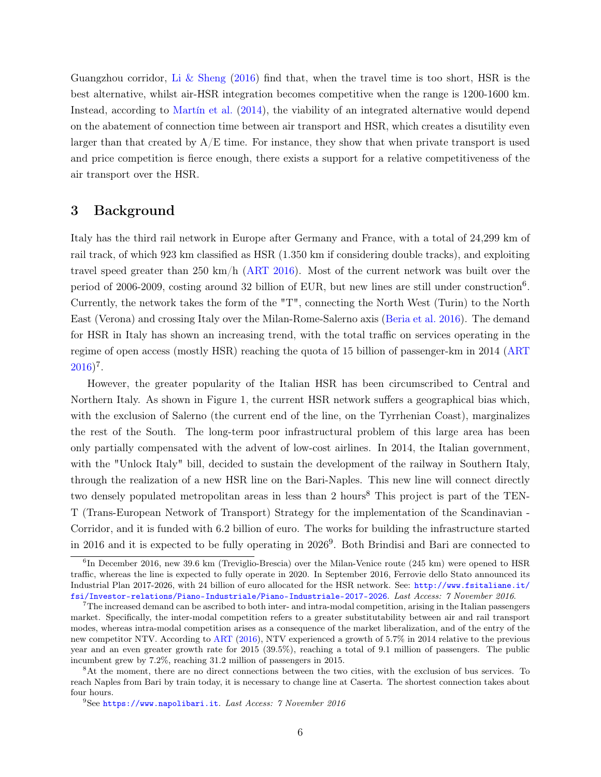<span id="page-6-0"></span>Guangzhou corridor, [Li & Sheng](#page-25-0) [\(2016\)](#page-25-0) find that, when the travel time is too short, HSR is the best alternative, whilst air-HSR integration becomes competitive when the range is 1200-1600 km. Instead, according to [Martín et al.](#page-25-0) [\(2014\)](#page-25-0), the viability of an integrated alternative would depend on the abatement of connection time between air transport and HSR, which creates a disutility even larger than that created by  $A/E$  time. For instance, they show that when private transport is used and price competition is fierce enough, there exists a support for a relative competitiveness of the air transport over the HSR.

## 3 Background

Italy has the third rail network in Europe after Germany and France, with a total of 24,299 km of rail track, of which 923 km classified as HSR (1.350 km if considering double tracks), and exploiting travel speed greater than 250 km/h [\(ART](#page-23-0) [2016\)](#page-23-0). Most of the current network was built over the period of 200[6](#page-1-0)-2009, costing around 32 billion of EUR, but new lines are still under construction<sup>6</sup>. Currently, the network takes the form of the "T", connecting the North West (Turin) to the North East (Verona) and crossing Italy over the Milan-Rome-Salerno axis [\(Beria et al.](#page-24-0) [2016\)](#page-24-0). The demand for HSR in Italy has shown an increasing trend, with the total traffic on services operating in the regime of open access (mostly HSR) reaching the quota of 15 billion of passenger-km in 2014 [\(ART](#page-23-0)  $(2016)^7$  $(2016)^7$  $(2016)^7$  $(2016)^7$ .

However, the greater popularity of the Italian HSR has been circumscribed to Central and Northern Italy. As shown in Figure [1,](#page-7-0) the current HSR network suffers a geographical bias which, with the exclusion of Salerno (the current end of the line, on the Tyrrhenian Coast), marginalizes the rest of the South. The long-term poor infrastructural problem of this large area has been only partially compensated with the advent of low-cost airlines. In 2014, the Italian government, with the "Unlock Italy" bill, decided to sustain the development of the railway in Southern Italy, through the realization of a new HSR line on the Bari-Naples. This new line will connect directly two densely populated metropolitan areas in less than 2 hours<sup>[8](#page-1-0)</sup> This project is part of the TEN-T (Trans-European Network of Transport) Strategy for the implementation of the Scandinavian - Corridor, and it is funded with 6.2 billion of euro. The works for building the infrastructure started in 2016 and it is expected to be fully operating in 2026<sup>[9](#page-1-0)</sup>. Both Brindisi and Bari are connected to

<sup>&</sup>lt;sup>6</sup>In December 2016, new 39.6 km (Treviglio-Brescia) over the Milan-Venice route (245 km) were opened to HSR traffic, whereas the line is expected to fully operate in 2020. In September 2016, Ferrovie dello Stato announced its Industrial Plan 2017-2026, with 24 billion of euro allocated for the HSR network. See: [http://www.fsitaliane.it/](http://www.fsitaliane.it/fsi/Investor-relations/Piano-Industriale/Piano-Industriale-2017-2026) [fsi/Investor-relations/Piano-Industriale/Piano-Industriale-2017-2026](http://www.fsitaliane.it/fsi/Investor-relations/Piano-Industriale/Piano-Industriale-2017-2026). Last Access: 7 November 2016.

<sup>7</sup>The increased demand can be ascribed to both inter- and intra-modal competition, arising in the Italian passengers market. Specifically, the inter-modal competition refers to a greater substitutability between air and rail transport modes, whereas intra-modal competition arises as a consequence of the market liberalization, and of the entry of the new competitor NTV. According to [ART](#page-23-0) [\(2016\)](#page-23-0), NTV experienced a growth of 5.7% in 2014 relative to the previous year and an even greater growth rate for 2015 (39.5%), reaching a total of 9.1 million of passengers. The public incumbent grew by 7.2%, reaching 31.2 million of passengers in 2015.

<sup>8</sup>At the moment, there are no direct connections between the two cities, with the exclusion of bus services. To reach Naples from Bari by train today, it is necessary to change line at Caserta. The shortest connection takes about four hours.

 $^{9}$ See <https://www.napolibari.it>. Last Access: 7 November 2016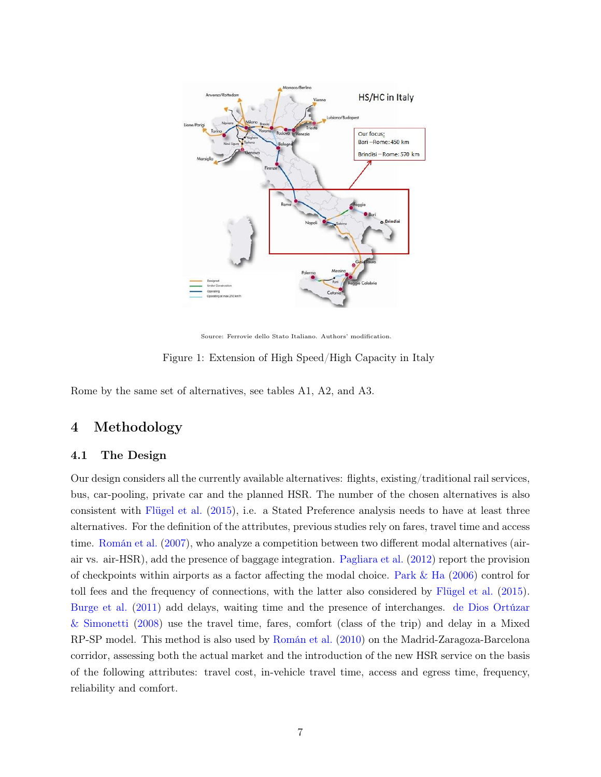<span id="page-7-0"></span>

Source: Ferrovie dello Stato Italiano. Authors' modification.

Figure 1: Extension of High Speed/High Capacity in Italy

Rome by the same set of alternatives, see tables A1, A2, and A3.

## 4 Methodology

#### 4.1 The Design

Our design considers all the currently available alternatives: flights, existing/traditional rail services, bus, car-pooling, private car and the planned HSR. The number of the chosen alternatives is also consistent with [Flügel et al.](#page-24-0) [\(2015\)](#page-24-0), i.e. a Stated Preference analysis needs to have at least three alternatives. For the definition of the attributes, previous studies rely on fares, travel time and access time. [Román et al.](#page-26-0) [\(2007\)](#page-26-0), who analyze a competition between two different modal alternatives (airair vs. air-HSR), add the presence of baggage integration. [Pagliara et al.](#page-26-0) [\(2012\)](#page-26-0) report the provision of checkpoints within airports as a factor affecting the modal choice. [Park & Ha](#page-26-0) [\(2006\)](#page-26-0) control for toll fees and the frequency of connections, with the latter also considered by [Flügel et al.](#page-24-0) [\(2015\)](#page-24-0). [Burge et al.](#page-24-0) [\(2011\)](#page-24-0) add delays, waiting time and the presence of interchanges. [de Dios Ortúzar](#page-24-0) [& Simonetti](#page-24-0) [\(2008\)](#page-24-0) use the travel time, fares, comfort (class of the trip) and delay in a Mixed RP-SP model. This method is also used by [Román et al.](#page-26-0) [\(2010\)](#page-26-0) on the Madrid-Zaragoza-Barcelona corridor, assessing both the actual market and the introduction of the new HSR service on the basis of the following attributes: travel cost, in-vehicle travel time, access and egress time, frequency, reliability and comfort.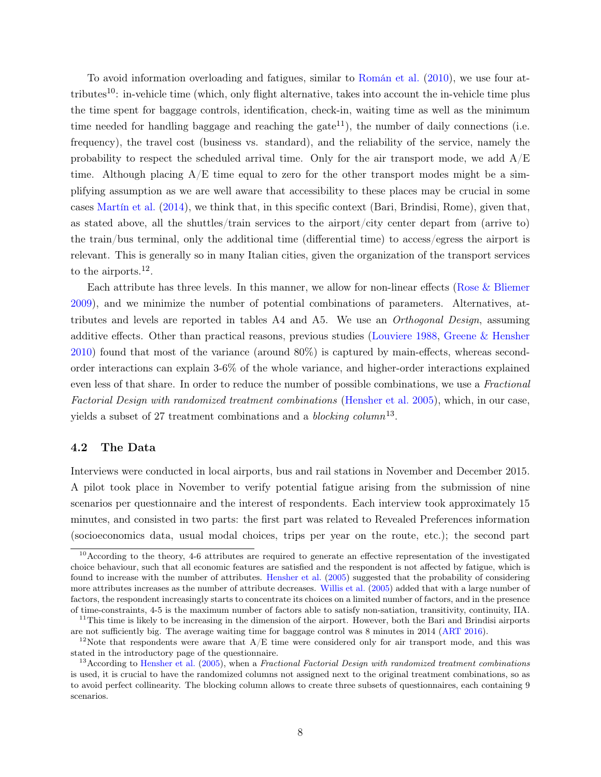To avoid information overloading and fatigues, similar to [Román et al.](#page-26-0) [\(2010\)](#page-26-0), we use four at-tributes<sup>[10](#page-1-0)</sup>: in-vehicle time (which, only flight alternative, takes into account the in-vehicle time plus the time spent for baggage controls, identification, check-in, waiting time as well as the minimum time needed for handling baggage and reaching the gate<sup>[11](#page-1-0)</sup>), the number of daily connections (i.e. frequency), the travel cost (business vs. standard), and the reliability of the service, namely the probability to respect the scheduled arrival time. Only for the air transport mode, we add  $A/E$ time. Although placing  $A/E$  time equal to zero for the other transport modes might be a simplifying assumption as we are well aware that accessibility to these places may be crucial in some cases [Martín et al.](#page-25-0) [\(2014\)](#page-25-0), we think that, in this specific context (Bari, Brindisi, Rome), given that, as stated above, all the shuttles/train services to the airport/city center depart from (arrive to) the train/bus terminal, only the additional time (differential time) to access/egress the airport is relevant. This is generally so in many Italian cities, given the organization of the transport services to the airports.<sup>[12](#page-1-0)</sup>.

Each attribute has three levels. In this manner, we allow for non-linear effects [\(Rose & Bliemer](#page-26-0) [2009\)](#page-26-0), and we minimize the number of potential combinations of parameters. Alternatives, attributes and levels are reported in tables [A4](#page-15-0) and [A5.](#page-16-0) We use an Orthogonal Design, assuming additive effects. Other than practical reasons, previous studies [\(Louviere](#page-25-0) [1988,](#page-25-0) [Greene & Hensher](#page-25-0) [2010\)](#page-25-0) found that most of the variance (around 80%) is captured by main-effects, whereas secondorder interactions can explain 3-6% of the whole variance, and higher-order interactions explained even less of that share. In order to reduce the number of possible combinations, we use a Fractional Factorial Design with randomized treatment combinations [\(Hensher et al.](#page-25-0) [2005\)](#page-25-0), which, in our case, yields a subset of 27 treatment combinations and a *blocking column*<sup>[13](#page-1-0)</sup>.

#### 4.2 The Data

Interviews were conducted in local airports, bus and rail stations in November and December 2015. A pilot took place in November to verify potential fatigue arising from the submission of nine scenarios per questionnaire and the interest of respondents. Each interview took approximately 15 minutes, and consisted in two parts: the first part was related to Revealed Preferences information (socioeconomics data, usual modal choices, trips per year on the route, etc.); the second part

 $10$ According to the theory, 4-6 attributes are required to generate an effective representation of the investigated choice behaviour, such that all economic features are satisfied and the respondent is not affected by fatigue, which is found to increase with the number of attributes. [Hensher et al.](#page-25-0) [\(2005\)](#page-25-0) suggested that the probability of considering more attributes increases as the number of attribute decreases. [Willis et al.](#page-27-0) [\(2005\)](#page-27-0) added that with a large number of factors, the respondent increasingly starts to concentrate its choices on a limited number of factors, and in the presence of time-constraints, 4-5 is the maximum number of factors able to satisfy non-satiation, transitivity, continuity, IIA. <sup>11</sup>This time is likely to be increasing in the dimension of the airport. However, both the Bari and Brindisi airports

are not sufficiently big. The average waiting time for baggage control was 8 minutes in 2014 [\(ART](#page-23-0) [2016\)](#page-23-0).

<sup>&</sup>lt;sup>12</sup>Note that respondents were aware that  $A/E$  time were considered only for air transport mode, and this was stated in the introductory page of the questionnaire.

<sup>&</sup>lt;sup>13</sup> According to [Hensher et al.](#page-25-0) [\(2005\)](#page-25-0), when a *Fractional Factorial Design with randomized treatment combinations* is used, it is crucial to have the randomized columns not assigned next to the original treatment combinations, so as to avoid perfect collinearity. The blocking column allows to create three subsets of questionnaires, each containing 9 scenarios.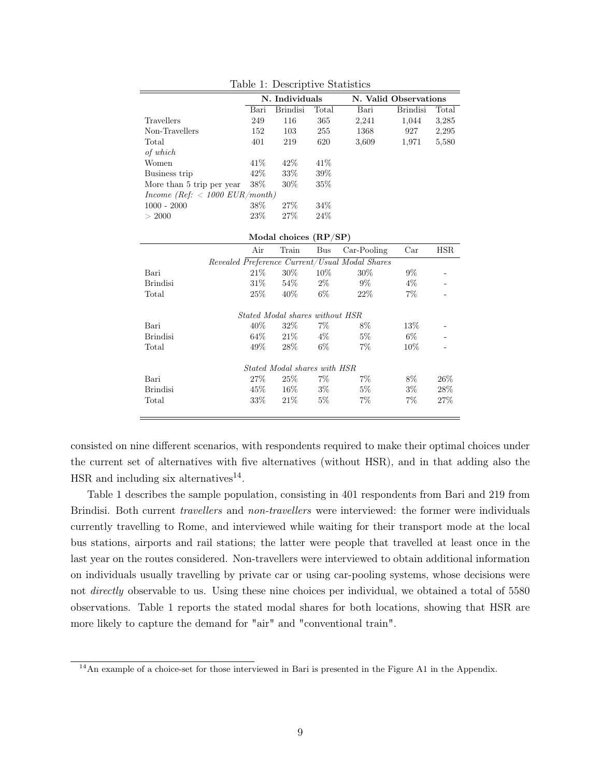|                                  |      | N. Individuals  |       |       | N. Valid Observations |       |
|----------------------------------|------|-----------------|-------|-------|-----------------------|-------|
|                                  | Bari | <b>Brindisi</b> | Total | Bari  | <b>Brindisi</b>       | Total |
| <b>Travellers</b>                | 249  | 116             | 365   | 2,241 | 1,044                 | 3,285 |
| Non-Travellers                   | 152  | 103             | 255   | 1368  | 927                   | 2,295 |
| Total                            | 401  | 219             | 620   | 3,609 | 1,971                 | 5,580 |
| of which                         |      |                 |       |       |                       |       |
| Women                            | 41\% | 42\%            | 41\%  |       |                       |       |
| Business trip                    | 42\% | 33%             | 39%   |       |                       |       |
| More than 5 trip per year        | 38\% | $30\%$          | 35%   |       |                       |       |
| Income (Ref: $<$ 1000 EUR/month) |      |                 |       |       |                       |       |
| $1000 - 2000$                    | 38%  | 27\%            | 34\%  |       |                       |       |
| > 2000                           | 23\% | 27\%            | 24%   |       |                       |       |

Table 1: Descriptive Statistics

#### Modal choices (RP/SP)

|                 | Air                                            | Train                               | Bus    | Car-Pooling | Car   | <b>HSR</b> |
|-----------------|------------------------------------------------|-------------------------------------|--------|-------------|-------|------------|
|                 | Revealed Preference Current/Usual Modal Shares |                                     |        |             |       |            |
| Bari            | 21\%                                           | $30\%$                              | $10\%$ | $30\%$      | $9\%$ |            |
| <b>Brindisi</b> | $31\%$                                         | 54%                                 | $2\%$  | $9\%$       | $4\%$ |            |
| Total           | 25%                                            | 40\%                                | $6\%$  | 22%         | 7%    |            |
|                 | <i>Stated Modal shares without HSR</i>         |                                     |        |             |       |            |
| Bari            | 40%                                            | 32\%                                | 7%     | 8%          | 13\%  |            |
| <b>Brindisi</b> | 64\%                                           | 21\%                                | $4\%$  | $5\%$       | $6\%$ |            |
| Total           | 49%                                            | 28\%                                | $6\%$  | 7%          | 10%   |            |
|                 |                                                | <i>Stated Modal shares with HSR</i> |        |             |       |            |
| Bari            | 27\%                                           | 25\%                                | $7\%$  | 7%          | 8%    | 26%        |
| <b>Brindisi</b> | 45\%                                           | $16\%$                              | $3\%$  | $5\%$       | $3\%$ | 28%        |
| Total           | 33%                                            | 21%                                 | $5\%$  | 7%          | 7%    | 27%        |
|                 |                                                |                                     |        |             |       |            |

consisted on nine different scenarios, with respondents required to make their optimal choices under the current set of alternatives with five alternatives (without HSR), and in that adding also the HSR and including six alternatives<sup>[14](#page-1-0)</sup>.

Table 1 describes the sample population, consisting in 401 respondents from Bari and 219 from Brindisi. Both current travellers and non-travellers were interviewed: the former were individuals currently travelling to Rome, and interviewed while waiting for their transport mode at the local bus stations, airports and rail stations; the latter were people that travelled at least once in the last year on the routes considered. Non-travellers were interviewed to obtain additional information on individuals usually travelling by private car or using car-pooling systems, whose decisions were not *directly* observable to us. Using these nine choices per individual, we obtained a total of 5580 observations. Table 1 reports the stated modal shares for both locations, showing that HSR are more likely to capture the demand for "air" and "conventional train".

<sup>&</sup>lt;sup>14</sup>An example of a choice-set for those interviewed in Bari is presented in the Figure [A1](#page-7-0) in the Appendix.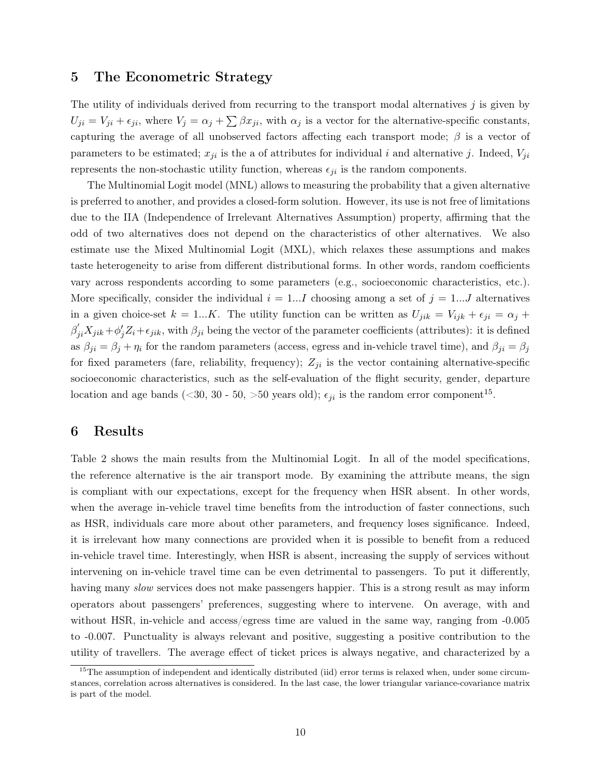## <span id="page-10-0"></span>5 The Econometric Strategy

The utility of individuals derived from recurring to the transport modal alternatives  $j$  is given by  $U_{ji} = V_{ji} + \epsilon_{ji}$ , where  $V_j = \alpha_j + \sum \beta x_{ji}$ , with  $\alpha_j$  is a vector for the alternative-specific constants, capturing the average of all unobserved factors affecting each transport mode;  $\beta$  is a vector of parameters to be estimated;  $x_{ji}$  is the a of attributes for individual i and alternative j. Indeed,  $V_{ji}$ represents the non-stochastic utility function, whereas  $\epsilon_{ji}$  is the random components.

The Multinomial Logit model (MNL) allows to measuring the probability that a given alternative is preferred to another, and provides a closed-form solution. However, its use is not free of limitations due to the IIA (Independence of Irrelevant Alternatives Assumption) property, affirming that the odd of two alternatives does not depend on the characteristics of other alternatives. We also estimate use the Mixed Multinomial Logit (MXL), which relaxes these assumptions and makes taste heterogeneity to arise from different distributional forms. In other words, random coefficients vary across respondents according to some parameters (e.g., socioeconomic characteristics, etc.). More specifically, consider the individual  $i = 1...I$  choosing among a set of  $j = 1...J$  alternatives in a given choice-set  $k = 1...K$ . The utility function can be written as  $U_{jik} = V_{ijk} + \epsilon_{ji} = \alpha_j +$  $\beta'_{ji}X_{jik}+\phi'_{j}Z_{i}+\epsilon_{jik}$ , with  $\beta_{ji}$  being the vector of the parameter coefficients (attributes): it is defined as  $\beta_{ji} = \beta_j + \eta_i$  for the random parameters (access, egress and in-vehicle travel time), and  $\beta_{ji} = \beta_j$ for fixed parameters (fare, reliability, frequency);  $Z_{ji}$  is the vector containing alternative-specific socioeconomic characteristics, such as the self-evaluation of the flight security, gender, departure location and age bands (<30, 30 - 50, >50 years old);  $\epsilon_{ji}$  is the random error component<sup>[15](#page-1-0)</sup>.

### 6 Results

Table [2](#page-12-0) shows the main results from the Multinomial Logit. In all of the model specifications, the reference alternative is the air transport mode. By examining the attribute means, the sign is compliant with our expectations, except for the frequency when HSR absent. In other words, when the average in-vehicle travel time benefits from the introduction of faster connections, such as HSR, individuals care more about other parameters, and frequency loses significance. Indeed, it is irrelevant how many connections are provided when it is possible to benefit from a reduced in-vehicle travel time. Interestingly, when HSR is absent, increasing the supply of services without intervening on in-vehicle travel time can be even detrimental to passengers. To put it differently, having many *slow* services does not make passengers happier. This is a strong result as may inform operators about passengers' preferences, suggesting where to intervene. On average, with and without HSR, in-vehicle and access/egress time are valued in the same way, ranging from  $-0.005$ to -0.007. Punctuality is always relevant and positive, suggesting a positive contribution to the utility of travellers. The average effect of ticket prices is always negative, and characterized by a

 $15$ The assumption of independent and identically distributed (iid) error terms is relaxed when, under some circumstances, correlation across alternatives is considered. In the last case, the lower triangular variance-covariance matrix is part of the model.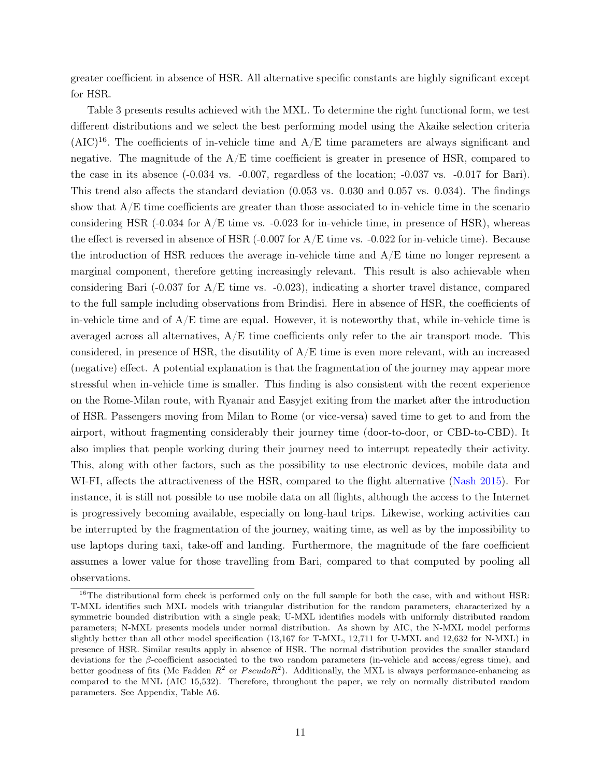greater coefficient in absence of HSR. All alternative specific constants are highly significant except for HSR.

Table 3 presents results achieved with the MXL. To determine the right functional form, we test different distributions and we select the best performing model using the Akaike selection criteria  $(AIC)^{16}$  $(AIC)^{16}$  $(AIC)^{16}$ . The coefficients of in-vehicle time and  $A/E$  time parameters are always significant and negative. The magnitude of the  $A/E$  time coefficient is greater in presence of HSR, compared to the case in its absence (-0.034 vs. -0.007, regardless of the location; -0.037 vs. -0.017 for Bari). This trend also affects the standard deviation (0.053 vs. 0.030 and 0.057 vs. 0.034). The findings show that  $A/E$  time coefficients are greater than those associated to in-vehicle time in the scenario considering HSR (-0.034 for  $A/E$  time vs. -0.023 for in-vehicle time, in presence of HSR), whereas the effect is reversed in absence of HSR  $(-0.007$  for  $A/E$  time vs.  $-0.022$  for in-vehicle time). Because the introduction of HSR reduces the average in-vehicle time and  $A/E$  time no longer represent a marginal component, therefore getting increasingly relevant. This result is also achievable when considering Bari (-0.037 for  $A/E$  time vs. -0.023), indicating a shorter travel distance, compared to the full sample including observations from Brindisi. Here in absence of HSR, the coefficients of in-vehicle time and of  $A/E$  time are equal. However, it is noteworthy that, while in-vehicle time is averaged across all alternatives,  $A/E$  time coefficients only refer to the air transport mode. This considered, in presence of HSR, the disutility of  $A/E$  time is even more relevant, with an increased (negative) effect. A potential explanation is that the fragmentation of the journey may appear more stressful when in-vehicle time is smaller. This finding is also consistent with the recent experience on the Rome-Milan route, with Ryanair and Easyjet exiting from the market after the introduction of HSR. Passengers moving from Milan to Rome (or vice-versa) saved time to get to and from the airport, without fragmenting considerably their journey time (door-to-door, or CBD-to-CBD). It also implies that people working during their journey need to interrupt repeatedly their activity. This, along with other factors, such as the possibility to use electronic devices, mobile data and WI-FI, affects the attractiveness of the HSR, compared to the flight alternative [\(Nash](#page-25-0) [2015\)](#page-25-0). For instance, it is still not possible to use mobile data on all flights, although the access to the Internet is progressively becoming available, especially on long-haul trips. Likewise, working activities can be interrupted by the fragmentation of the journey, waiting time, as well as by the impossibility to use laptops during taxi, take-off and landing. Furthermore, the magnitude of the fare coefficient assumes a lower value for those travelling from Bari, compared to that computed by pooling all observations.

<sup>&</sup>lt;sup>16</sup>The distributional form check is performed only on the full sample for both the case, with and without HSR: T-MXL identifies such MXL models with triangular distribution for the random parameters, characterized by a symmetric bounded distribution with a single peak; U-MXL identifies models with uniformly distributed random parameters; N-MXL presents models under normal distribution. As shown by AIC, the N-MXL model performs slightly better than all other model specification (13,167 for T-MXL, 12,711 for U-MXL and 12,632 for N-MXL) in presence of HSR. Similar results apply in absence of HSR. The normal distribution provides the smaller standard deviations for the β-coefficient associated to the two random parameters (in-vehicle and access/egress time), and better goodness of fits (Mc Fadden  $R^2$  or  $PseudoR^2$ ). Additionally, the MXL is always performance-enhancing as compared to the MNL (AIC 15,532). Therefore, throughout the paper, we rely on normally distributed random parameters. See Appendix, Table [A6.](#page-17-0)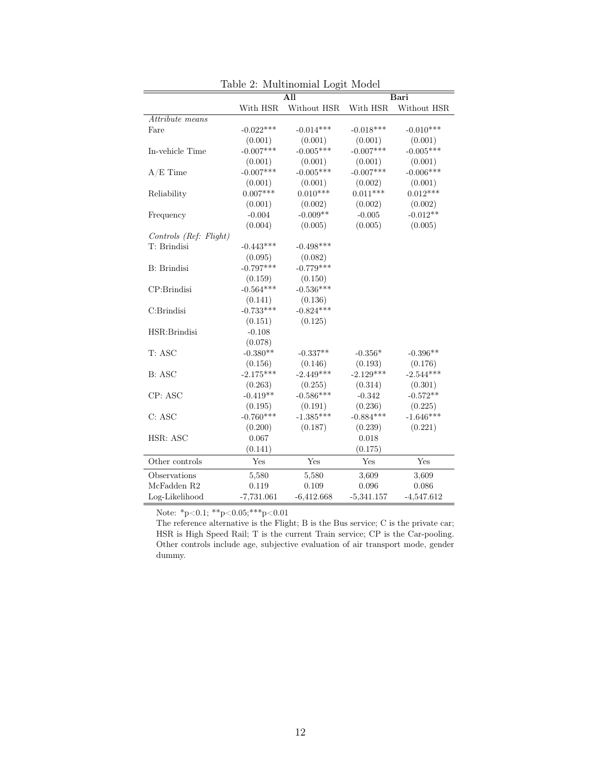<span id="page-12-0"></span>

|                        |              | rable 2. Muhmonnar Logit Moder<br>All |              |                     |
|------------------------|--------------|---------------------------------------|--------------|---------------------|
|                        | With HSR     | Without HSR                           | With HSR     | Bari<br>Without HSR |
|                        |              |                                       |              |                     |
| Attribute means        |              |                                       |              |                     |
| Fare                   | $-0.022***$  | $-0.014***$                           | $-0.018***$  | $-0.010***$         |
|                        | (0.001)      | (0.001)                               | (0.001)      | (0.001)             |
| In-vehicle Time        | $-0.007***$  | $-0.005***$                           | $-0.007***$  | $-0.005***$         |
|                        | (0.001)      | (0.001)                               | (0.001)      | (0.001)             |
| $A/E$ Time             | $-0.007***$  | $-0.005***$                           | $-0.007***$  | $-0.006***$         |
|                        | (0.001)      | (0.001)                               | (0.002)      | (0.001)             |
| Reliability            | $0.007***$   | $0.010***$                            | $0.011***$   | $0.012***$          |
|                        | (0.001)      | (0.002)                               | (0.002)      | (0.002)             |
| Frequency              | $-0.004$     | $-0.009**$                            | $-0.005$     | $-0.012**$          |
|                        | (0.004)      | (0.005)                               | (0.005)      | (0.005)             |
| Controls (Ref: Flight) |              |                                       |              |                     |
| T: Brindisi            | $-0.443***$  | $-0.498***$                           |              |                     |
|                        | (0.095)      | (0.082)                               |              |                     |
| <b>B</b> : Brindisi    | $-0.797***$  | $-0.779***$                           |              |                     |
|                        | (0.159)      | (0.150)                               |              |                     |
| CP:Brindisi            | $-0.564***$  | $-0.536***$                           |              |                     |
|                        | (0.141)      | (0.136)                               |              |                     |
| C:Brindisi             | $-0.733***$  | $-0.824***$                           |              |                     |
|                        | (0.151)      | (0.125)                               |              |                     |
| HSR:Brindisi           | $-0.108$     |                                       |              |                     |
|                        | (0.078)      |                                       |              |                     |
| T: ASC                 | $-0.380**$   | $-0.337**$                            | $-0.356*$    | $-0.396**$          |
|                        | (0.156)      | (0.146)                               | (0.193)      | (0.176)             |
| B: ASC                 | $-2.175***$  | $-2.449***$                           | $-2.129***$  | $-2.544***$         |
|                        | (0.263)      | (0.255)                               | (0.314)      | (0.301)             |
| CP: ASC                | $-0.419**$   | $-0.586***$                           | $-0.342$     | $-0.572**$          |
|                        | (0.195)      | (0.191)                               | (0.236)      | (0.225)             |
| C: ASC                 | $-0.760***$  | $-1.385***$                           | $-0.884***$  | $-1.646***$         |
|                        | (0.200)      | (0.187)                               | (0.239)      | (0.221)             |
| HSR: ASC               | 0.067        |                                       | 0.018        |                     |
|                        | (0.141)      |                                       | (0.175)      |                     |
| Other controls         | Yes          | Yes                                   | Yes          | Yes                 |
|                        |              |                                       |              |                     |
| Observations           | 5,580        | 5,580                                 | 3,609        | 3,609               |
| McFadden R2            | 0.119        | 0.109                                 | 0.096        | 0.086               |
| Log-Likelihood         | $-7,731.061$ | $-6,412.668$                          | $-5,341.157$ | $-4,547.612$        |

Table 2: Multinomial Logit Model

Note: \*p<0.1; \*\*p<0.05;\*\*\*p<0.01

The reference alternative is the Flight; B is the Bus service; C is the private car; HSR is High Speed Rail; T is the current Train service; CP is the Car-pooling. Other controls include age, subjective evaluation of air transport mode, gender dummy.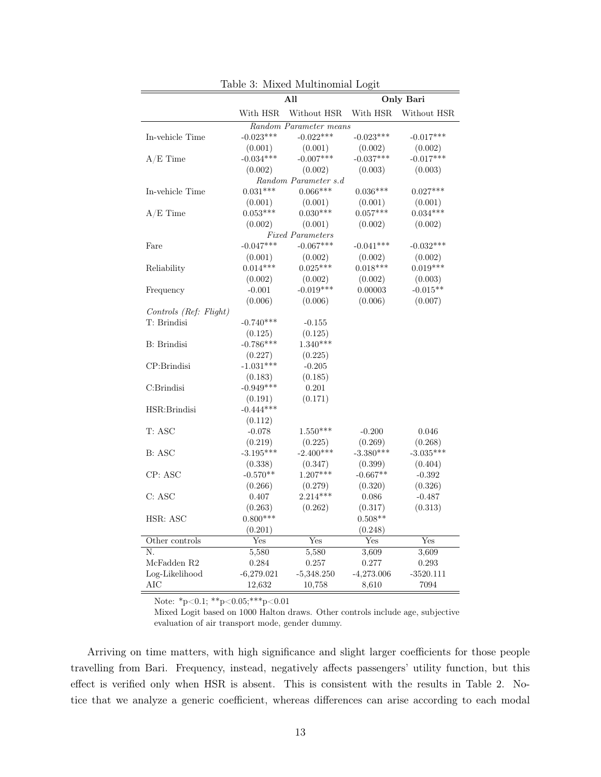|                        |              | All                     |              | Only Bari   |
|------------------------|--------------|-------------------------|--------------|-------------|
|                        | With HSR     | Without HSR             | With HSR     | Without HSR |
|                        |              | Random Parameter means  |              |             |
| In-vehicle Time        | $-0.023***$  | $-0.022***$             | $-0.023***$  | $-0.017***$ |
|                        | (0.001)      | (0.001)                 | (0.002)      | (0.002)     |
| $A/E$ Time             | $-0.034***$  | $-0.007***$             | $-0.037***$  | $-0.017***$ |
|                        | (0.002)      | (0.002)                 | (0.003)      | (0.003)     |
|                        |              | Random Parameter s.d    |              |             |
| In-vehicle Time        | $0.031***$   | $0.066***$              | $0.036***$   | $0.027***$  |
|                        | (0.001)      | (0.001)                 | (0.001)      | (0.001)     |
| $A/E$ Time             | $0.053***$   | $0.030***$              | $0.057***$   | $0.034***$  |
|                        | (0.002)      | (0.001)                 | (0.002)      | (0.002)     |
|                        |              | <b>Fixed Parameters</b> |              |             |
| Fare                   | $-0.047***$  | $-0.067***$             | $-0.041***$  | $-0.032***$ |
|                        | (0.001)      | (0.002)                 | (0.002)      | (0.002)     |
| Reliability            | $0.014***$   | $0.025***$              | $0.018***$   | $0.019***$  |
|                        | (0.002)      | (0.002)                 | (0.002)      | (0.003)     |
| Frequency              | $-0.001$     | $-0.019***$             | 0.00003      | $-0.015**$  |
|                        | (0.006)      | (0.006)                 | (0.006)      | (0.007)     |
| Controls (Ref: Flight) |              |                         |              |             |
| T: Brindisi            | $-0.740***$  | $-0.155$                |              |             |
|                        | (0.125)      | (0.125)                 |              |             |
| <b>B</b> : Brindisi    | $-0.786***$  | $1.340***$              |              |             |
|                        | (0.227)      | (0.225)                 |              |             |
| CP:Brindisi            | $-1.031***$  | $-0.205$                |              |             |
|                        | (0.183)      | (0.185)                 |              |             |
| C:Brindisi             | $-0.949***$  | 0.201                   |              |             |
|                        | (0.191)      | (0.171)                 |              |             |
| HSR:Brindisi           | $-0.444***$  |                         |              |             |
|                        | (0.112)      |                         |              |             |
| T: ASC                 | $-0.078$     | $1.550***$              | $-0.200$     | 0.046       |
|                        | (0.219)      | (0.225)                 | (0.269)      | (0.268)     |
| B: ASC                 | $-3.195***$  | $-2.400***$             | $-3.380***$  | $-3.035***$ |
|                        | (0.338)      | (0.347)                 | (0.399)      | (0.404)     |
| CP: ASC                | $-0.570**$   | $1.207***$              | $-0.667**$   | $-0.392$    |
|                        | (0.266)      | (0.279)                 | (0.320)      | (0.326)     |
| C: ASC                 | 0.407        | $2.214***$              | 0.086        | $-0.487$    |
|                        | (0.263)      | (0.262)                 | (0.317)      | (0.313)     |
| HSR: ASC               | $0.800***$   |                         | $0.508**$    |             |
|                        | (0.201)      |                         | (0.248)      |             |
| Other controls         | Yes          | Yes                     | Yes          | Yes         |
| N.                     | 5,580        | 5,580                   | 3,609        | 3,609       |
| McFadden R2            | 0.284        | 0.257                   | 0.277        | 0.293       |
| Log-Likelihood         | $-6,279.021$ | $-5,348.250$            | $-4,273.006$ | $-3520.111$ |
| AІC                    | 12,632       | 10,758                  | 8,610        | 7094        |

Table 3: Mixed Multinomial Logit

Note: \*p<0.1; \*\*p<0.05;\*\*\*p<0.01

Mixed Logit based on 1000 Halton draws. Other controls include age, subjective evaluation of air transport mode, gender dummy.

Arriving on time matters, with high significance and slight larger coefficients for those people travelling from Bari. Frequency, instead, negatively affects passengers' utility function, but this effect is verified only when HSR is absent. This is consistent with the results in Table [2.](#page-12-0) Notice that we analyze a generic coefficient, whereas differences can arise according to each modal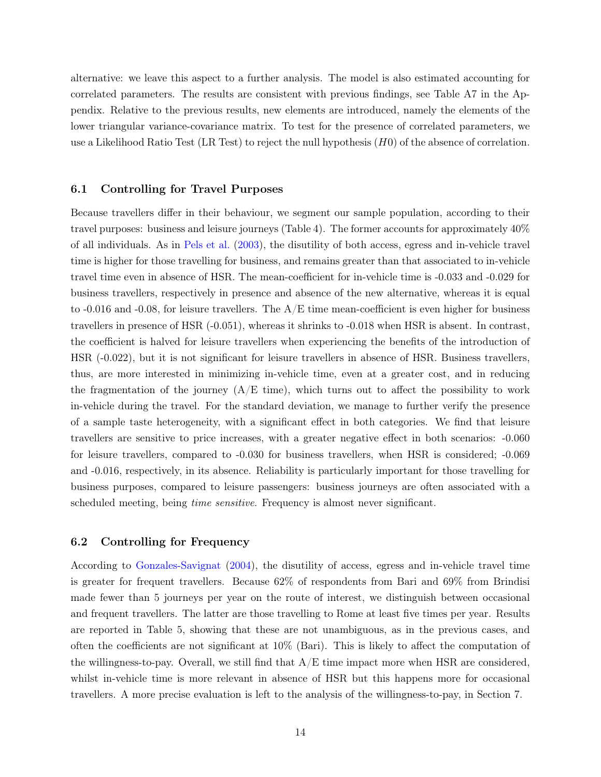alternative: we leave this aspect to a further analysis. The model is also estimated accounting for correlated parameters. The results are consistent with previous findings, see Table [A7](#page-19-0) in the Appendix. Relative to the previous results, new elements are introduced, namely the elements of the lower triangular variance-covariance matrix. To test for the presence of correlated parameters, we use a Likelihood Ratio Test  $(LR$  Test) to reject the null hypothesis  $(H0)$  of the absence of correlation.

#### 6.1 Controlling for Travel Purposes

Because travellers differ in their behaviour, we segment our sample population, according to their travel purposes: business and leisure journeys (Table [4\)](#page-15-0). The former accounts for approximately 40% of all individuals. As in [Pels et al.](#page-26-0) [\(2003\)](#page-26-0), the disutility of both access, egress and in-vehicle travel time is higher for those travelling for business, and remains greater than that associated to in-vehicle travel time even in absence of HSR. The mean-coefficient for in-vehicle time is -0.033 and -0.029 for business travellers, respectively in presence and absence of the new alternative, whereas it is equal to  $-0.016$  and  $-0.08$ , for leisure travellers. The  $A/E$  time mean-coefficient is even higher for business travellers in presence of HSR (-0.051), whereas it shrinks to -0.018 when HSR is absent. In contrast, the coefficient is halved for leisure travellers when experiencing the benefits of the introduction of HSR (-0.022), but it is not significant for leisure travellers in absence of HSR. Business travellers, thus, are more interested in minimizing in-vehicle time, even at a greater cost, and in reducing the fragmentation of the journey  $(A/E \, time)$ , which turns out to affect the possibility to work in-vehicle during the travel. For the standard deviation, we manage to further verify the presence of a sample taste heterogeneity, with a significant effect in both categories. We find that leisure travellers are sensitive to price increases, with a greater negative effect in both scenarios: -0.060 for leisure travellers, compared to -0.030 for business travellers, when HSR is considered; -0.069 and -0.016, respectively, in its absence. Reliability is particularly important for those travelling for business purposes, compared to leisure passengers: business journeys are often associated with a scheduled meeting, being time sensitive. Frequency is almost never significant.

#### 6.2 Controlling for Frequency

According to [Gonzales-Savignat](#page-25-0) [\(2004\)](#page-25-0), the disutility of access, egress and in-vehicle travel time is greater for frequent travellers. Because 62% of respondents from Bari and 69% from Brindisi made fewer than 5 journeys per year on the route of interest, we distinguish between occasional and frequent travellers. The latter are those travelling to Rome at least five times per year. Results are reported in Table 5, showing that these are not unambiguous, as in the previous cases, and often the coefficients are not significant at 10% (Bari). This is likely to affect the computation of the willingness-to-pay. Overall, we still find that  $A/E$  time impact more when HSR are considered, whilst in-vehicle time is more relevant in absence of HSR but this happens more for occasional travellers. A more precise evaluation is left to the analysis of the willingness-to-pay, in Section [7.](#page-20-0)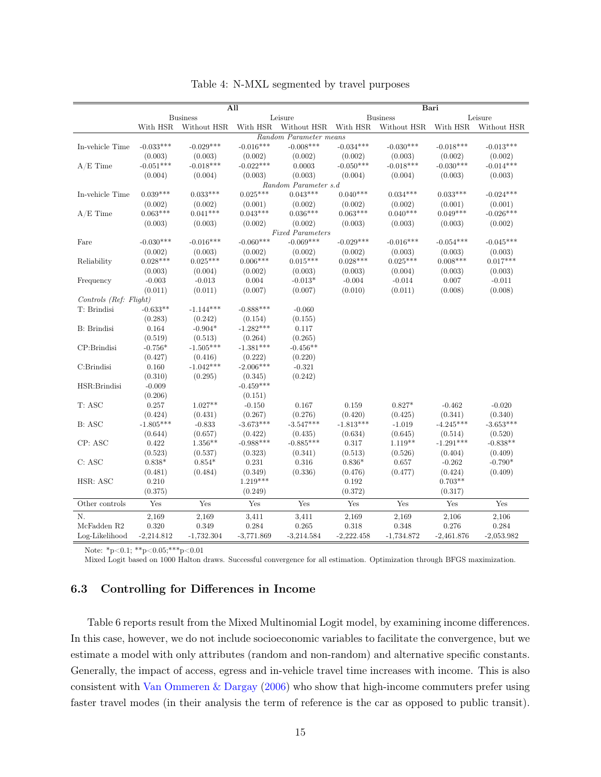<span id="page-15-0"></span>

|                        |              |                 | All          |                         |              |                 | Bari         |              |
|------------------------|--------------|-----------------|--------------|-------------------------|--------------|-----------------|--------------|--------------|
|                        |              | <b>Business</b> |              | Leisure                 |              | <b>Business</b> |              | Leisure      |
|                        | With HSR     | Without HSR     | With HSR     | Without HSR             | With HSR     | Without HSR     | With HSR     | Without HSR  |
|                        |              |                 |              | Random Parameter means  |              |                 |              |              |
| In-vehicle Time        | $-0.033***$  | $-0.029***$     | $-0.016***$  | $-0.008***$             | $-0.034***$  | $-0.030***$     | $-0.018***$  | $-0.013***$  |
|                        | (0.003)      | (0.003)         | (0.002)      | (0.002)                 | (0.002)      | (0.003)         | (0.002)      | (0.002)      |
| $A/E$ Time             | $-0.051***$  | $-0.018***$     | $-0.022***$  | 0.0003                  | $-0.050***$  | $-0.018***$     | $-0.030***$  | $-0.014***$  |
|                        | (0.004)      | (0.004)         | (0.003)      | (0.003)                 | (0.004)      | (0.004)         | (0.003)      | (0.003)      |
|                        |              |                 |              | Random Parameter s.d    |              |                 |              |              |
| In-vehicle Time        | $0.039***$   | $0.033***$      | $0.025***$   | $0.043***$              | $0.040***$   | $0.034***$      | $0.033***$   | $-0.024***$  |
|                        | (0.002)      | (0.002)         | (0.001)      | (0.002)                 | (0.002)      | (0.002)         | (0.001)      | (0.001)      |
| $A/E$ Time             | $0.063***$   | $0.041***$      | $0.043***$   | $0.036***$              | $0.063***$   | $0.040***$      | $0.049***$   | $-0.026***$  |
|                        | (0.003)      | (0.003)         | (0.002)      | (0.002)                 | (0.003)      | (0.003)         | (0.003)      | (0.002)      |
|                        |              |                 |              | <b>Fixed Parameters</b> |              |                 |              |              |
| Fare                   | $-0.030***$  | $-0.016***$     | $-0.060***$  | $-0.069***$             | $-0.029***$  | $-0.016***$     | $-0.054***$  | $-0.045***$  |
|                        | (0.002)      | (0.003)         | (0.002)      | (0.002)                 | (0.002)      | (0.003)         | (0.003)      | (0.003)      |
| Reliability            | $0.028***$   | $0.025***$      | $0.006***$   | $0.015***$              | $0.028***$   | $0.025***$      | $0.008***$   | $0.017***$   |
|                        | (0.003)      | (0.004)         | (0.002)      | (0.003)                 | (0.003)      | (0.004)         | (0.003)      | (0.003)      |
| Frequency              | $-0.003$     | $-0.013$        | 0.004        | $-0.013*$               | $-0.004$     | $-0.014$        | 0.007        | $-0.011$     |
|                        | (0.011)      | (0.011)         | (0.007)      | (0.007)                 | (0.010)      | (0.011)         | (0.008)      | (0.008)      |
| Controls (Ref: Flight) |              |                 |              |                         |              |                 |              |              |
| T: Brindisi            | $-0.633**$   | $-1.144***$     | $-0.888***$  | $-0.060$                |              |                 |              |              |
|                        | (0.283)      | (0.242)         | (0.154)      | (0.155)                 |              |                 |              |              |
| <b>B</b> : Brindisi    | 0.164        | $-0.904*$       | $-1.282***$  | 0.117                   |              |                 |              |              |
|                        | (0.519)      | (0.513)         | (0.264)      | (0.265)                 |              |                 |              |              |
| CP:Brindisi            | $-0.756*$    | $-1.505***$     | $-1.381***$  | $-0.456**$              |              |                 |              |              |
|                        | (0.427)      | (0.416)         | (0.222)      | (0.220)                 |              |                 |              |              |
| C:Brindisi             | 0.160        | $-1.042***$     | $-2.006***$  | $-0.321$                |              |                 |              |              |
|                        | (0.310)      | (0.295)         | (0.345)      | (0.242)                 |              |                 |              |              |
| HSR:Brindisi           | $-0.009$     |                 | $-0.459***$  |                         |              |                 |              |              |
|                        | (0.206)      |                 | (0.151)      |                         |              |                 |              |              |
| T: ASC                 | 0.257        | $1.027**$       | $-0.150$     | 0.167                   | 0.159        | $0.827*$        | $-0.462$     | $-0.020$     |
|                        | (0.424)      | (0.431)         | (0.267)      | (0.276)                 | (0.420)      | (0.425)         | (0.341)      | (0.340)      |
| B: ASC                 | $-1.805***$  | $-0.833$        | $-3.673***$  | $-3.547***$             | $-1.813***$  | $-1.019$        | $-4.245***$  | $-3.653***$  |
|                        | (0.644)      | (0.657)         | (0.422)      | (0.435)                 | (0.634)      | (0.645)         | (0.514)      | (0.520)      |
| CP: ASC                | 0.422        | $1.356**$       | $-0.988***$  | $-0.885***$             | 0.317        | $1.119**$       | $-1.291***$  | $-0.838**$   |
|                        | (0.523)      | (0.537)         | (0.323)      | (0.341)                 | (0.513)      | (0.526)         | (0.404)      | (0.409)      |
| C: ASC                 | $0.838*$     | $0.854*$        | 0.231        | 0.316                   | $0.836*$     | 0.657           | $-0.262$     | $-0.790*$    |
|                        | (0.481)      | (0.484)         | (0.349)      | (0.336)                 | (0.476)      | (0.477)         | (0.424)      | (0.409)      |
| HSR: ASC               | 0.210        |                 | $1.219***$   |                         | 0.192        |                 | $0.703**$    |              |
|                        | (0.375)      |                 | (0.249)      |                         | (0.372)      |                 | (0.317)      |              |
| Other controls         | Yes          | Yes             | Yes          | Yes                     | Yes          | Yes             | Yes          | Yes          |
| $N$ .                  | 2,169        | 2,169           | 3,411        | 3,411                   | 2,169        | 2,169           | 2,106        | 2,106        |
| McFadden R2            | 0.320        | 0.349           | 0.284        | 0.265                   | 0.318        | 0.348           | 0.276        | 0.284        |
| Log-Likelihood         | $-2,214.812$ | $-1,732.304$    | $-3,771.869$ | $-3,214.584$            | $-2,222.458$ | $-1,734.872$    | $-2,461.876$ | $-2,053.982$ |

Table 4: N-MXL segmented by travel purposes

Note: \*p<0.1; \*\*p<0.05;\*\*\*p<0.01

Mixed Logit based on 1000 Halton draws. Successful convergence for all estimation. Optimization through BFGS maximization.

#### 6.3 Controlling for Differences in Income

Table [6](#page-17-0) reports result from the Mixed Multinomial Logit model, by examining income differences. In this case, however, we do not include socioeconomic variables to facilitate the convergence, but we estimate a model with only attributes (random and non-random) and alternative specific constants. Generally, the impact of access, egress and in-vehicle travel time increases with income. This is also consistent with [Van Ommeren & Dargay](#page-26-0) [\(2006\)](#page-26-0) who show that high-income commuters prefer using faster travel modes (in their analysis the term of reference is the car as opposed to public transit).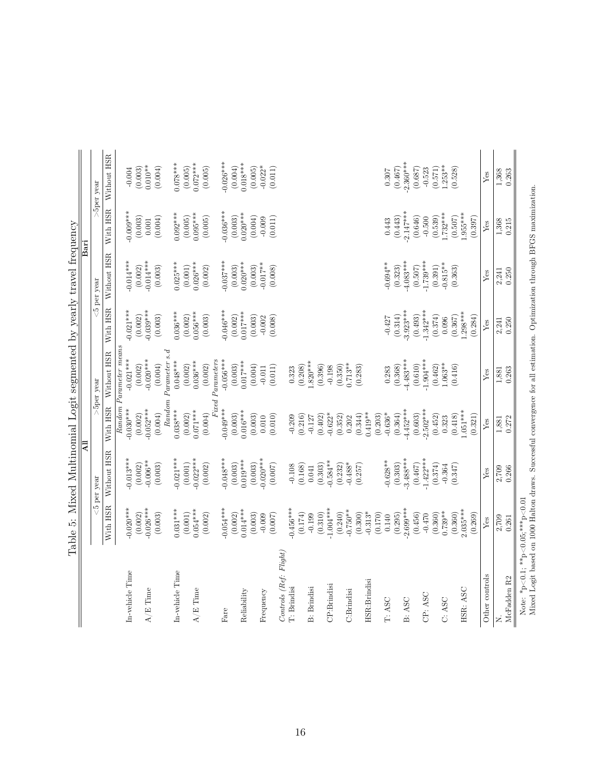<span id="page-16-0"></span>

| Without HSR<br>$0.021***$<br>$0.022***$<br>$-0.048***$<br>$0.020***$<br>$-3.488***$<br>$1.422***$<br>$0.013***$<br>$0.019***$<br>$-0.006**$<br>$0.584**$<br>$-0.628**$<br>(0.001)<br>(0.003)<br>(0.003)<br>$-0.488*$<br>(0.303)<br>(0.002)<br>(0.003)<br>(0.007)<br>(0.303)<br>(0.467)<br>(0.374)<br>(0.002)<br>$-0.108$<br>(0.168)<br>(0.232)<br>(0.257)<br>$-0.364$<br>(0.347)<br>0.041<br>$<$ 5 per year<br>With HSR<br>$-0.456***$<br>$-1.004***$<br>$-0.026***$<br>$-2.699***$<br>$-0.020*$<br>$-0.054***$<br>$0.031***$<br>$0.054***$<br>$0.014***$<br>$-0.750**$<br>$-0.313*$<br>$0.739**$<br>(0.174)<br>(0.240)<br>(0.002)<br>(0.001)<br>(0.002)<br>(0.003)<br>(0.310)<br>(0.300)<br>(0.170)<br>(0.360)<br>(0.003)<br>(0.295)<br>(0.456)<br>(0.360)<br>(0.002)<br>$-0.009$<br>(0.007)<br>$-0.199$<br>$-0.470$<br>0.140<br>Controls (Ref: Flight,<br>In-vehicle Time<br>In-vehicle Time<br>HSR:Brindisi<br>CP:Brindisi<br>T: Brindisi<br>B: Brindisi<br>$A/E$ Time<br>$A/B$ Time<br>Reliability<br>Frequency<br>C:Brindisi<br>CP: ASC<br>B: ASC<br>C: ASC<br>$\mathcal{T}\colon\mathbf{ASC}$<br>Fare | $\emph{Random}$<br>Fixed<br>With HSR<br>$-0.030***$<br>$0.052***$<br>$0.049***$<br>$0.071***$<br>$0.016***$<br>$0.038***$<br>(0.002)<br>(0.003)<br>(0.002)<br>(0.004)<br>(0.004)<br>(0.003)<br>(0.010)<br>0.010 | Random Parameter means<br>Parameter s.d<br>Without HSR<br>$-0.020***$<br>$-0.021***$<br>(0.004)<br>(0.002)<br>>5per year | With HSR    | Without HSR<br>$<$ 5 per year |                                           | >5per year  |
|-------------------------------------------------------------------------------------------------------------------------------------------------------------------------------------------------------------------------------------------------------------------------------------------------------------------------------------------------------------------------------------------------------------------------------------------------------------------------------------------------------------------------------------------------------------------------------------------------------------------------------------------------------------------------------------------------------------------------------------------------------------------------------------------------------------------------------------------------------------------------------------------------------------------------------------------------------------------------------------------------------------------------------------------------------------------------------------------------------------|-----------------------------------------------------------------------------------------------------------------------------------------------------------------------------------------------------------------|--------------------------------------------------------------------------------------------------------------------------|-------------|-------------------------------|-------------------------------------------|-------------|
|                                                                                                                                                                                                                                                                                                                                                                                                                                                                                                                                                                                                                                                                                                                                                                                                                                                                                                                                                                                                                                                                                                             |                                                                                                                                                                                                                 |                                                                                                                          |             |                               |                                           |             |
|                                                                                                                                                                                                                                                                                                                                                                                                                                                                                                                                                                                                                                                                                                                                                                                                                                                                                                                                                                                                                                                                                                             |                                                                                                                                                                                                                 |                                                                                                                          |             |                               | With HSR                                  | Without HSR |
|                                                                                                                                                                                                                                                                                                                                                                                                                                                                                                                                                                                                                                                                                                                                                                                                                                                                                                                                                                                                                                                                                                             |                                                                                                                                                                                                                 |                                                                                                                          |             |                               |                                           |             |
|                                                                                                                                                                                                                                                                                                                                                                                                                                                                                                                                                                                                                                                                                                                                                                                                                                                                                                                                                                                                                                                                                                             |                                                                                                                                                                                                                 |                                                                                                                          | $-0.021***$ | $-0.014***$                   | $-0.009***$                               | $-0.004$    |
|                                                                                                                                                                                                                                                                                                                                                                                                                                                                                                                                                                                                                                                                                                                                                                                                                                                                                                                                                                                                                                                                                                             |                                                                                                                                                                                                                 |                                                                                                                          | (0.002)     | (0.002)                       | $\left(0.003\right)$ $\left(0.001\right)$ | (0.003)     |
|                                                                                                                                                                                                                                                                                                                                                                                                                                                                                                                                                                                                                                                                                                                                                                                                                                                                                                                                                                                                                                                                                                             |                                                                                                                                                                                                                 |                                                                                                                          | $0.039***$  | $-0.014***$                   |                                           | $0.010**$   |
|                                                                                                                                                                                                                                                                                                                                                                                                                                                                                                                                                                                                                                                                                                                                                                                                                                                                                                                                                                                                                                                                                                             |                                                                                                                                                                                                                 |                                                                                                                          | (0.003)     | (0.003)                       | (0.004)                                   | (0.004)     |
|                                                                                                                                                                                                                                                                                                                                                                                                                                                                                                                                                                                                                                                                                                                                                                                                                                                                                                                                                                                                                                                                                                             |                                                                                                                                                                                                                 |                                                                                                                          |             |                               |                                           |             |
|                                                                                                                                                                                                                                                                                                                                                                                                                                                                                                                                                                                                                                                                                                                                                                                                                                                                                                                                                                                                                                                                                                             |                                                                                                                                                                                                                 | $0.048***$                                                                                                               | $0.036***$  | $0.025***$                    | $0.092***$                                | $0.078***$  |
|                                                                                                                                                                                                                                                                                                                                                                                                                                                                                                                                                                                                                                                                                                                                                                                                                                                                                                                                                                                                                                                                                                             |                                                                                                                                                                                                                 | (0.002)                                                                                                                  | (0.002)     | (0.001)                       | (0.005)                                   | (0.005)     |
|                                                                                                                                                                                                                                                                                                                                                                                                                                                                                                                                                                                                                                                                                                                                                                                                                                                                                                                                                                                                                                                                                                             |                                                                                                                                                                                                                 | $0.036***$                                                                                                               | $0.056***$  | $0.026***$                    | $0.095***$                                | $0.072***$  |
|                                                                                                                                                                                                                                                                                                                                                                                                                                                                                                                                                                                                                                                                                                                                                                                                                                                                                                                                                                                                                                                                                                             |                                                                                                                                                                                                                 | (0.002)                                                                                                                  | (0.003)     | (0.002)                       | (0.005)                                   | (0.005)     |
|                                                                                                                                                                                                                                                                                                                                                                                                                                                                                                                                                                                                                                                                                                                                                                                                                                                                                                                                                                                                                                                                                                             |                                                                                                                                                                                                                 | Parameters                                                                                                               |             |                               |                                           |             |
|                                                                                                                                                                                                                                                                                                                                                                                                                                                                                                                                                                                                                                                                                                                                                                                                                                                                                                                                                                                                                                                                                                             |                                                                                                                                                                                                                 | $-0.056***$                                                                                                              | $0.046***$  | $0.037***$                    | $0.036***$                                | $0.026***$  |
|                                                                                                                                                                                                                                                                                                                                                                                                                                                                                                                                                                                                                                                                                                                                                                                                                                                                                                                                                                                                                                                                                                             |                                                                                                                                                                                                                 | (0.003)                                                                                                                  | (0.002)     | (0.003)                       | (0.003)                                   | (0.004)     |
|                                                                                                                                                                                                                                                                                                                                                                                                                                                                                                                                                                                                                                                                                                                                                                                                                                                                                                                                                                                                                                                                                                             |                                                                                                                                                                                                                 | $0.017***$                                                                                                               | $0.017***$  | $0.020***$                    | $0.020***$                                | $0.018***$  |
|                                                                                                                                                                                                                                                                                                                                                                                                                                                                                                                                                                                                                                                                                                                                                                                                                                                                                                                                                                                                                                                                                                             |                                                                                                                                                                                                                 | (0.004)                                                                                                                  | (0.003)     | (0.003)                       | (0.004)                                   | (0.005)     |
|                                                                                                                                                                                                                                                                                                                                                                                                                                                                                                                                                                                                                                                                                                                                                                                                                                                                                                                                                                                                                                                                                                             |                                                                                                                                                                                                                 | $-0.011$                                                                                                                 | $-0.002$    | $0.017***$                    | $-0.009$                                  | $-0.022*$   |
|                                                                                                                                                                                                                                                                                                                                                                                                                                                                                                                                                                                                                                                                                                                                                                                                                                                                                                                                                                                                                                                                                                             |                                                                                                                                                                                                                 | (0.011)                                                                                                                  | (0.008)     | (0.008)                       | (0.011)                                   | (0.011)     |
|                                                                                                                                                                                                                                                                                                                                                                                                                                                                                                                                                                                                                                                                                                                                                                                                                                                                                                                                                                                                                                                                                                             |                                                                                                                                                                                                                 |                                                                                                                          |             |                               |                                           |             |
|                                                                                                                                                                                                                                                                                                                                                                                                                                                                                                                                                                                                                                                                                                                                                                                                                                                                                                                                                                                                                                                                                                             | $-0.209$                                                                                                                                                                                                        | 0.323                                                                                                                    |             |                               |                                           |             |
|                                                                                                                                                                                                                                                                                                                                                                                                                                                                                                                                                                                                                                                                                                                                                                                                                                                                                                                                                                                                                                                                                                             | (0.216)                                                                                                                                                                                                         | (0.208)                                                                                                                  |             |                               |                                           |             |
|                                                                                                                                                                                                                                                                                                                                                                                                                                                                                                                                                                                                                                                                                                                                                                                                                                                                                                                                                                                                                                                                                                             | $-0.127$                                                                                                                                                                                                        | $1.820***$                                                                                                               |             |                               |                                           |             |
|                                                                                                                                                                                                                                                                                                                                                                                                                                                                                                                                                                                                                                                                                                                                                                                                                                                                                                                                                                                                                                                                                                             | (0.402)                                                                                                                                                                                                         | (0.396)                                                                                                                  |             |                               |                                           |             |
|                                                                                                                                                                                                                                                                                                                                                                                                                                                                                                                                                                                                                                                                                                                                                                                                                                                                                                                                                                                                                                                                                                             | $-0.622*$                                                                                                                                                                                                       | $-0.198$                                                                                                                 |             |                               |                                           |             |
|                                                                                                                                                                                                                                                                                                                                                                                                                                                                                                                                                                                                                                                                                                                                                                                                                                                                                                                                                                                                                                                                                                             | (0.352)                                                                                                                                                                                                         | (0.350)                                                                                                                  |             |                               |                                           |             |
|                                                                                                                                                                                                                                                                                                                                                                                                                                                                                                                                                                                                                                                                                                                                                                                                                                                                                                                                                                                                                                                                                                             | 0.202                                                                                                                                                                                                           | $0.713**$                                                                                                                |             |                               |                                           |             |
|                                                                                                                                                                                                                                                                                                                                                                                                                                                                                                                                                                                                                                                                                                                                                                                                                                                                                                                                                                                                                                                                                                             | (0.344)                                                                                                                                                                                                         | (0.283)                                                                                                                  |             |                               |                                           |             |
|                                                                                                                                                                                                                                                                                                                                                                                                                                                                                                                                                                                                                                                                                                                                                                                                                                                                                                                                                                                                                                                                                                             | $0.419**$                                                                                                                                                                                                       |                                                                                                                          |             |                               |                                           |             |
|                                                                                                                                                                                                                                                                                                                                                                                                                                                                                                                                                                                                                                                                                                                                                                                                                                                                                                                                                                                                                                                                                                             | (0.203)                                                                                                                                                                                                         |                                                                                                                          |             |                               |                                           |             |
|                                                                                                                                                                                                                                                                                                                                                                                                                                                                                                                                                                                                                                                                                                                                                                                                                                                                                                                                                                                                                                                                                                             | $-0.636*$                                                                                                                                                                                                       | 0.283                                                                                                                    | $-0.427$    | $0.694**$                     | 0.443                                     | $0.307\,$   |
|                                                                                                                                                                                                                                                                                                                                                                                                                                                                                                                                                                                                                                                                                                                                                                                                                                                                                                                                                                                                                                                                                                             | (0.364)                                                                                                                                                                                                         | (0.368)                                                                                                                  | (0.314)     | (0.323)                       | (0.443)                                   | (0.467)     |
|                                                                                                                                                                                                                                                                                                                                                                                                                                                                                                                                                                                                                                                                                                                                                                                                                                                                                                                                                                                                                                                                                                             | $4.452***$                                                                                                                                                                                                      | $4.483***$                                                                                                               | $-3.923***$ | $4.083***$                    | $-2.147***$                               | $-2.360***$ |
|                                                                                                                                                                                                                                                                                                                                                                                                                                                                                                                                                                                                                                                                                                                                                                                                                                                                                                                                                                                                                                                                                                             | (0.603)                                                                                                                                                                                                         | (0.610)                                                                                                                  | (0.493)     | (0.507)                       | (0.646)                                   | (0.687)     |
|                                                                                                                                                                                                                                                                                                                                                                                                                                                                                                                                                                                                                                                                                                                                                                                                                                                                                                                                                                                                                                                                                                             | $2.502***$                                                                                                                                                                                                      | $-1.904***$                                                                                                              | $-1.342***$ | $1.739***$                    | $-0.500$                                  | $-0.523$    |
|                                                                                                                                                                                                                                                                                                                                                                                                                                                                                                                                                                                                                                                                                                                                                                                                                                                                                                                                                                                                                                                                                                             | (0.452)                                                                                                                                                                                                         | (0.462)                                                                                                                  | (0.374)     | (0.391)                       | (0.539)                                   | (0.571)     |
|                                                                                                                                                                                                                                                                                                                                                                                                                                                                                                                                                                                                                                                                                                                                                                                                                                                                                                                                                                                                                                                                                                             | 0.323                                                                                                                                                                                                           | $1.063**$                                                                                                                | 0.096       | $0.815**$                     | $1.732***$                                | $1.253**$   |
|                                                                                                                                                                                                                                                                                                                                                                                                                                                                                                                                                                                                                                                                                                                                                                                                                                                                                                                                                                                                                                                                                                             | (0.418)                                                                                                                                                                                                         | (0.416)                                                                                                                  | (0.367)     | (0.363)                       | $(0.507)$<br>1.955***                     | (0.528)     |
| $2.035***$<br>HSR: ASC                                                                                                                                                                                                                                                                                                                                                                                                                                                                                                                                                                                                                                                                                                                                                                                                                                                                                                                                                                                                                                                                                      | $0.051***$                                                                                                                                                                                                      |                                                                                                                          | $1.298***$  |                               |                                           |             |
| (0.269)                                                                                                                                                                                                                                                                                                                                                                                                                                                                                                                                                                                                                                                                                                                                                                                                                                                                                                                                                                                                                                                                                                     | (0.321)                                                                                                                                                                                                         |                                                                                                                          | (0.284)     |                               | (0.397)                                   |             |
| Yes<br>Yes<br>Other controls                                                                                                                                                                                                                                                                                                                                                                                                                                                                                                                                                                                                                                                                                                                                                                                                                                                                                                                                                                                                                                                                                | Yes                                                                                                                                                                                                             | Yes                                                                                                                      | Yes         | Yes                           | Yes                                       | Yes         |
| 2,709<br>2,709<br>z                                                                                                                                                                                                                                                                                                                                                                                                                                                                                                                                                                                                                                                                                                                                                                                                                                                                                                                                                                                                                                                                                         | 1,881                                                                                                                                                                                                           | 1,881                                                                                                                    | 2,241       | 2,241                         | 1,368                                     | 1,368       |
| 0.266<br>0.261<br>McFadden R2                                                                                                                                                                                                                                                                                                                                                                                                                                                                                                                                                                                                                                                                                                                                                                                                                                                                                                                                                                                                                                                                               | 0.272                                                                                                                                                                                                           | 0.263                                                                                                                    | 0.250       | 0.250                         | 0.215                                     | 0.263       |
| Note: *p<0.1; **p<0.05;***p<0.01                                                                                                                                                                                                                                                                                                                                                                                                                                                                                                                                                                                                                                                                                                                                                                                                                                                                                                                                                                                                                                                                            |                                                                                                                                                                                                                 |                                                                                                                          |             |                               |                                           |             |

| <b>ANGEL CARD CARD COMPANY</b>                                        |  |
|-----------------------------------------------------------------------|--|
| しょうしょ                                                                 |  |
| I<br>$\frac{1}{2}$                                                    |  |
|                                                                       |  |
|                                                                       |  |
| $\frac{1}{2}$                                                         |  |
| The state of the state of the state                                   |  |
| )<br>1<br>1                                                           |  |
| $\overline{a}$<br>$\frac{1}{2}$<br>:<br> <br> }<br>$\frac{1}{2}$<br>I |  |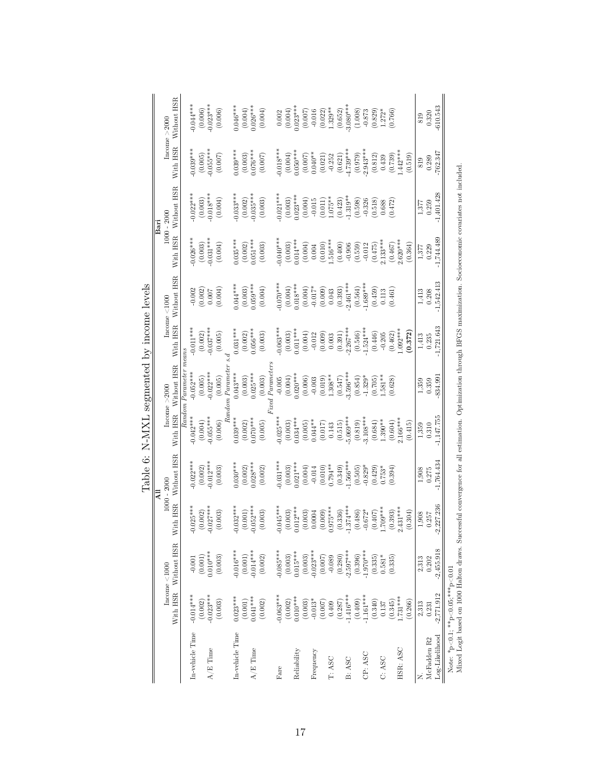<span id="page-17-0"></span>

|                                           |                | Without HSR<br>Income ${>}2000\,$ |                        | $0.044***$      | (0.006) | $0.023***$  | (0.006) |                  | $0.046***$      | (0.004) | $0.026***$ | (0.004) |                  | 0.002       | $(0.004)$<br>$0.023***$ |                        | (0.007)              | $-0.016$             | (0.022)                                           | $1.329***$ | (0.652) | $3.080***$  | (1.008)              | $-0.873$   | $(0.829)$<br>1.272* |            | (0.766) |            |         | 819   | 0.320       | 610.543        |                                                    |
|-------------------------------------------|----------------|-----------------------------------|------------------------|-----------------|---------|-------------|---------|------------------|-----------------|---------|------------|---------|------------------|-------------|-------------------------|------------------------|----------------------|----------------------|---------------------------------------------------|------------|---------|-------------|----------------------|------------|---------------------|------------|---------|------------|---------|-------|-------------|----------------|----------------------------------------------------|
|                                           |                | With HSR                          |                        | $0.039***$      | (0.005) | $0.055***$  | (0.007) |                  | $0.039***$      | (0.003) | $0.076***$ | (0.007) |                  | $0.018***$  |                         | $(0.004)$<br>0.050***  | (0.007)              | $0.040**$            | $(0.021)$<br>$-0.252$<br>$(0.621)$<br>$(4.739***$ |            |         |             | (0.979)              | $2.943***$ | (0.812)             | 0.439      | (0.739) | $.442***$  | (0.519) | 819   | 0.289       | 762.347        |                                                    |
|                                           | Bari           | Without HSR<br>$1000 - 2000$      |                        | $0.022***$      | (0.003) | $0.018***$  | (0.004) |                  | $0.033***$      | (0.002) | $0.035***$ | (0.003) |                  | $0.021***$  | (0.003)                 | $0.023***$             | (0.004)              | $-0.015$             | $(0.011)$<br>1.075**                              |            | (0.423) | $-1.319**$  | (0.598)              | $-0.326$   | (0.518)             | 0.688      | (0.472) |            |         | 1,377 | 0.259       | $-1,401.428$   |                                                    |
|                                           |                | With HSR                          |                        | $0.026***$      | (0.003) | $0.031***$  | (0.004) |                  | $0.035***$      | (0.002) | $0.051***$ | (0.003) |                  | $0.040***$  | $(0.003)$<br>$0.014***$ |                        | (0.004)              | 0.004                | (0.010)                                           | $1.516***$ | (0.400) | $-0.906$    | (0.559)              | $-0.012$   | (0.475)             | $2.133***$ | (0.467) | $2.620***$ | (0.364) | 1,377 | 0.229       | $-1,744.489$   |                                                    |
|                                           |                | Without HSR<br>Income $<\!1000$   |                        | $-0.002$        | (0.002) | 0.007       | (0.004) |                  | $0.044***$      | (0.003) | $0.059***$ | (0.004) |                  | $0.070***$  |                         | $(0.004)$<br>0.018 *** | (0.004)              | $-0.017*$            | (0.009)                                           | 0.043      | (0.393) | $-2.461***$ | (0.564)              | $1.689***$ | (0.459)             | 0.113      | (0.461) |            |         | 1,413 | 0.208       | $-1,542.413$   |                                                    |
| Table 6: N-MXL segmented by income levels |                | With HSR                          |                        | $0.011***$      | (0.002) | $-0.037***$ | (0.005) |                  | $0.031***$      | (0.002) | $0.056***$ | (0.003) |                  | $0.063***$  | $(0.003)$<br>$0.011***$ |                        | (0.004)              | $-0.012$             | (0.009)                                           | 0.003      | (0.391) | $2.267***$  | (0.546)              | $1.524***$ | (0.446)             | $-0.205$   | (0.462) | $-092***$  | (0.372) | 1,413 | 0.235       | $-1,721.643$   |                                                    |
|                                           |                | Without HSR<br>Income $>2000$     | Random Parameter means | $0.052***$      | (0.005) | $0.022***$  | (0.005) | Random Parameter | $0.043***$      | (0.003) | $0.025***$ | (0.003) | Fixed Parameters | $-0.005$    | $(0.004)$<br>$0.020***$ |                        | (0.006)              | $-0.003$             | (0.019)                                           | $1.308**$  | (0.547) | $3.596***$  | $(0.854)$<br>-1.329* |            | (0.705)             | $1.581**$  | (0.628) |            |         | 1,359 | 0.359       | 834.991        |                                                    |
|                                           |                | With HSR                          |                        | $0.042***$      | (0.004) | $0.055***$  | (0.006) |                  | $0.039***$      | (0.002) | $0.070***$ | (0.005) |                  | $0.025***$  | (0.003)                 | $0.034***$             | $\left(0.005\right)$ | $0.044***$           | (0.017)                                           | 0.143      | (0.515) | 5.069***    | (0.819)              | $3.108***$ | (0.684)             | 1.390**    | (0.604) | $0.166***$ | (0.415) | 1,359 | 0.310       | $-1,147.755$   |                                                    |
|                                           | $\overline{4}$ | Without HSR<br>$1000 - 2000$      |                        | $0.022***$      | (0.002) | $0.012***$  | (0.003) |                  | $0.030***$      | (0.002) | $0.028***$ | (0.002) |                  | $0.031***$  | (0.003)                 | $0.021***$             | (0.004)              | $-0.014$             | (0.010)                                           | $0.794***$ | (0.349) | 1.566***    | (0.505)              | $-0.829*$  | (0.429)             | $0.753*$   | (0.394) |            |         | 1,908 | 0.275       | $-1.764.434$   |                                                    |
|                                           |                | With HSR                          |                        | $-0.025***$     | (0.002) | $-0.027***$ | (0.003) |                  | $-0.032***$     | (0.001) | $0.052***$ | (0.003) |                  | $-0.045***$ | (0.003)                 | $0.012***$             | (0.003)              | 0.0004               | (0.009)                                           | $0.975***$ | (0.336) | $-1.374***$ | (0.486)              | $-0.672*$  | (0.407)             | $1.709***$ | (0.393) | $2.431***$ | (0.304) | 1,908 | 0.257       | 2,227.236      |                                                    |
|                                           |                | Without HSR<br>Income $<\!1000$   |                        | $-0.001$        | (0.001) | $0.010***$  | (0.003) |                  | $0.016***$      | (0.001) | $0.014***$ | (0.002) |                  | $0.085***$  | (0.003)                 | $0.015***$             | (0.003)              | $-0.023***$          | (0.007)                                           | $-0.089$   | (0.280) | $2.597***$  | (0.396)              | $1.970***$ | (0.335)             | $0.581*$   | (0.335) |            |         | 2,313 | 0.202       | $-2,455.918$   |                                                    |
|                                           |                | With HSR                          |                        | $-0.014***$     | (0.002) | $-0.023***$ | (0.003) |                  | $0.023***$      | (0.001) | $0.041***$ | (0.002) |                  | $-0.063***$ | (0.002)                 | $0.010***$             |                      | $(0.003)$<br>-0.013* | $\begin{array}{c} 0.007 \\ 0.409 \end{array}$     |            | (0.287) | $-1.416***$ | (0.409)              | $1.161***$ | (0.340)             | 0.137      | (0.345) | $1.731***$ | (0.266) | 2,313 | 0.231       | $-2,771.912$   |                                                    |
|                                           |                |                                   |                        | In-vehicle Time |         | $A/E$ Time  |         |                  | In-vehicle Time |         | $A/E$ Time |         |                  | Fare        |                         | Reliability            |                      | Frequency            |                                                   | T: ASC     |         | B: ASC      |                      | CP: ASC    |                     | C: ASC     |         | HSR: ASC   |         |       | McFadden R2 | Log-Likelihood | Note: * $p < 0.1$ : ** $p < 0.05$ : *** $p < 0.01$ |

Mixed Logit based on 1000 Halton draws. Successful convergence for all estimation. Optimization through BFGS maximization. Socioeconomic covariates not included.

Note: \*p<0.1; \*\*p<0.05;\*\*\*p<0.01<br>...

Note:  $P^{\le 0,1}$ ;  $P^{\le 0,0}$ ;  $P^{\le 0,0}$ <br>Mixed Logit based on 1000 Halton draws. Successful convergence for all estimation. Optimization through BFGS maximization. Socioeconomic covariates not included.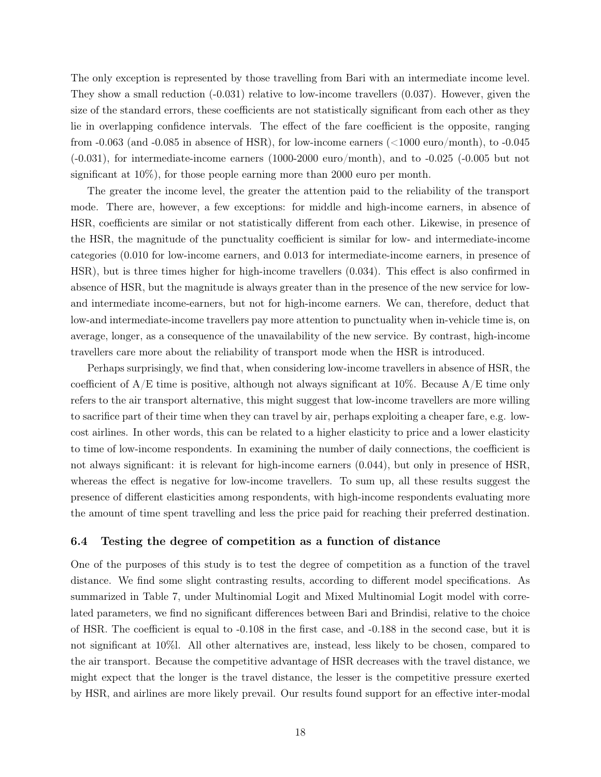The only exception is represented by those travelling from Bari with an intermediate income level. They show a small reduction (-0.031) relative to low-income travellers (0.037). However, given the size of the standard errors, these coefficients are not statistically significant from each other as they lie in overlapping confidence intervals. The effect of the fare coefficient is the opposite, ranging from -0.063 (and -0.085 in absence of HSR), for low-income earners (<1000 euro/month), to -0.045 (-0.031), for intermediate-income earners (1000-2000 euro/month), and to -0.025 (-0.005 but not significant at 10%), for those people earning more than 2000 euro per month.

The greater the income level, the greater the attention paid to the reliability of the transport mode. There are, however, a few exceptions: for middle and high-income earners, in absence of HSR, coefficients are similar or not statistically different from each other. Likewise, in presence of the HSR, the magnitude of the punctuality coefficient is similar for low- and intermediate-income categories (0.010 for low-income earners, and 0.013 for intermediate-income earners, in presence of HSR), but is three times higher for high-income travellers (0.034). This effect is also confirmed in absence of HSR, but the magnitude is always greater than in the presence of the new service for lowand intermediate income-earners, but not for high-income earners. We can, therefore, deduct that low-and intermediate-income travellers pay more attention to punctuality when in-vehicle time is, on average, longer, as a consequence of the unavailability of the new service. By contrast, high-income travellers care more about the reliability of transport mode when the HSR is introduced.

Perhaps surprisingly, we find that, when considering low-income travellers in absence of HSR, the coefficient of  $A/E$  time is positive, although not always significant at 10%. Because  $A/E$  time only refers to the air transport alternative, this might suggest that low-income travellers are more willing to sacrifice part of their time when they can travel by air, perhaps exploiting a cheaper fare, e.g. lowcost airlines. In other words, this can be related to a higher elasticity to price and a lower elasticity to time of low-income respondents. In examining the number of daily connections, the coefficient is not always significant: it is relevant for high-income earners (0.044), but only in presence of HSR, whereas the effect is negative for low-income travellers. To sum up, all these results suggest the presence of different elasticities among respondents, with high-income respondents evaluating more the amount of time spent travelling and less the price paid for reaching their preferred destination.

#### 6.4 Testing the degree of competition as a function of distance

One of the purposes of this study is to test the degree of competition as a function of the travel distance. We find some slight contrasting results, according to different model specifications. As summarized in Table 7, under Multinomial Logit and Mixed Multinomial Logit model with correlated parameters, we find no significant differences between Bari and Brindisi, relative to the choice of HSR. The coefficient is equal to -0.108 in the first case, and -0.188 in the second case, but it is not significant at 10%l. All other alternatives are, instead, less likely to be chosen, compared to the air transport. Because the competitive advantage of HSR decreases with the travel distance, we might expect that the longer is the travel distance, the lesser is the competitive pressure exerted by HSR, and airlines are more likely prevail. Our results found support for an effective inter-modal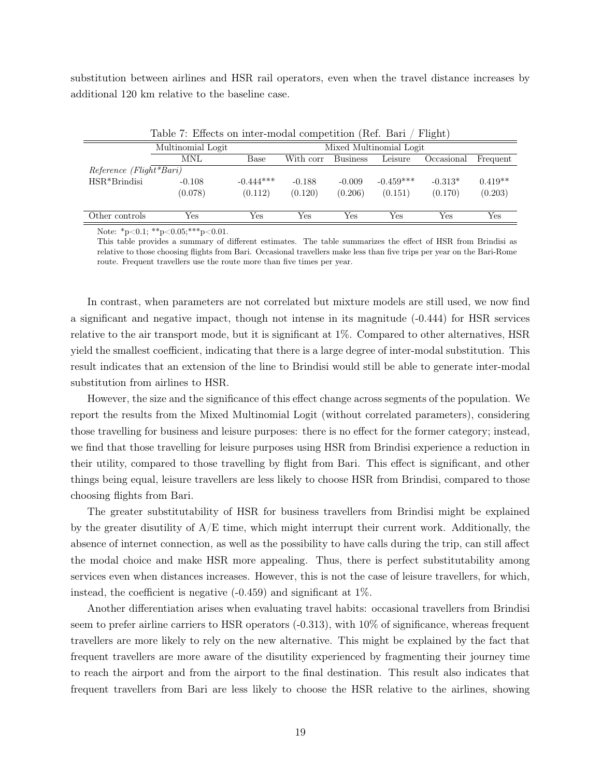<span id="page-19-0"></span>substitution between airlines and HSR rail operators, even when the travel distance increases by additional 120 km relative to the baseline case.

|                             | rable r. Effects on miter-modal competition (rief. Darr / Flight) |             |           |          |                         |            |           |
|-----------------------------|-------------------------------------------------------------------|-------------|-----------|----------|-------------------------|------------|-----------|
|                             | Multinomial Logit                                                 |             |           |          | Mixed Multinomial Logit |            |           |
|                             | MNL                                                               | Base        | With corr | Business | Leisure                 | Occasional | Frequent  |
| $Reference (Flight * Bari)$ |                                                                   |             |           |          |                         |            |           |
| $HSR*Brindisi$              | $-0.108$                                                          | $-0.444***$ | $-0.188$  | $-0.009$ | $-0.459***$             | $-0.313*$  | $0.419**$ |
|                             | (0.078)                                                           | (0.112)     | (0.120)   | (0.206)  | (0.151)                 | (0.170)    | (0.203)   |
|                             |                                                                   |             |           |          |                         |            |           |
| Other controls              | Yes                                                               | Yes         | Yes       | Yes      | Yes                     | Yes        | Yes       |

Table 7: Effects on inter-modal competition (Ref. Bari / Flight)

Note: \*p<0.1; \*\*p<0.05; \*\*\* p<0.01.

This table provides a summary of different estimates. The table summarizes the effect of HSR from Brindisi as relative to those choosing flights from Bari. Occasional travellers make less than five trips per year on the Bari-Rome route. Frequent travellers use the route more than five times per year.

In contrast, when parameters are not correlated but mixture models are still used, we now find a significant and negative impact, though not intense in its magnitude (-0.444) for HSR services relative to the air transport mode, but it is significant at 1%. Compared to other alternatives, HSR yield the smallest coefficient, indicating that there is a large degree of inter-modal substitution. This result indicates that an extension of the line to Brindisi would still be able to generate inter-modal substitution from airlines to HSR.

However, the size and the significance of this effect change across segments of the population. We report the results from the Mixed Multinomial Logit (without correlated parameters), considering those travelling for business and leisure purposes: there is no effect for the former category; instead, we find that those travelling for leisure purposes using HSR from Brindisi experience a reduction in their utility, compared to those travelling by flight from Bari. This effect is significant, and other things being equal, leisure travellers are less likely to choose HSR from Brindisi, compared to those choosing flights from Bari.

The greater substitutability of HSR for business travellers from Brindisi might be explained by the greater disutility of  $A/E$  time, which might interrupt their current work. Additionally, the absence of internet connection, as well as the possibility to have calls during the trip, can still affect the modal choice and make HSR more appealing. Thus, there is perfect substitutability among services even when distances increases. However, this is not the case of leisure travellers, for which, instead, the coefficient is negative  $(-0.459)$  and significant at 1%.

Another differentiation arises when evaluating travel habits: occasional travellers from Brindisi seem to prefer airline carriers to HSR operators (-0.313), with 10% of significance, whereas frequent travellers are more likely to rely on the new alternative. This might be explained by the fact that frequent travellers are more aware of the disutility experienced by fragmenting their journey time to reach the airport and from the airport to the final destination. This result also indicates that frequent travellers from Bari are less likely to choose the HSR relative to the airlines, showing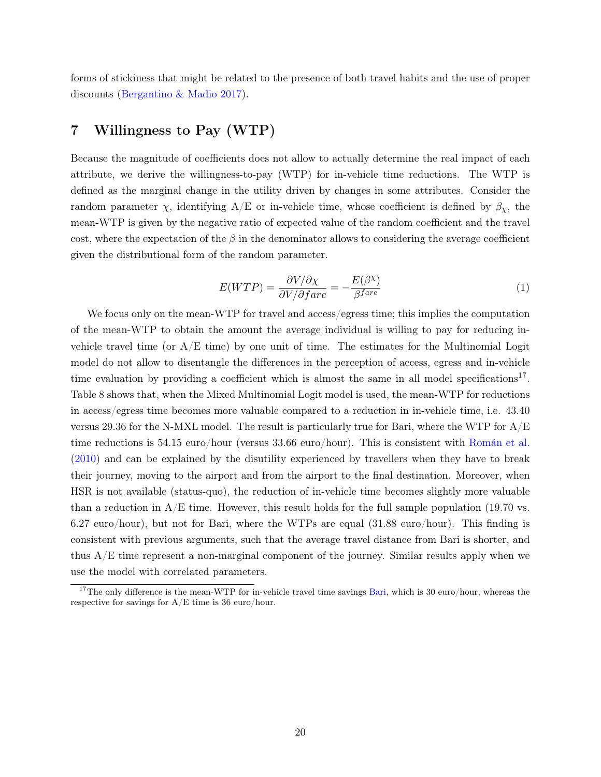<span id="page-20-0"></span>forms of stickiness that might be related to the presence of both travel habits and the use of proper discounts [\(Bergantino & Madio](#page-24-0) [2017\)](#page-24-0).

## 7 Willingness to Pay (WTP)

Because the magnitude of coefficients does not allow to actually determine the real impact of each attribute, we derive the willingness-to-pay (WTP) for in-vehicle time reductions. The WTP is defined as the marginal change in the utility driven by changes in some attributes. Consider the random parameter  $\chi$ , identifying A/E or in-vehicle time, whose coefficient is defined by  $\beta_{\chi}$ , the mean-WTP is given by the negative ratio of expected value of the random coefficient and the travel cost, where the expectation of the  $\beta$  in the denominator allows to considering the average coefficient given the distributional form of the random parameter.

$$
E(WTP) = \frac{\partial V/\partial \chi}{\partial V/\partial fare} = -\frac{E(\beta^{\chi})}{\beta^{fare}} \tag{1}
$$

We focus only on the mean-WTP for travel and access/egress time; this implies the computation of the mean-WTP to obtain the amount the average individual is willing to pay for reducing invehicle travel time (or  $A/E$  time) by one unit of time. The estimates for the Multinomial Logit model do not allow to disentangle the differences in the perception of access, egress and in-vehicle time evaluation by providing a coefficient which is almost the same in all model specifications<sup>[17](#page-1-0)</sup>. Table [8](#page-21-0) shows that, when the Mixed Multinomial Logit model is used, the mean-WTP for reductions in access/egress time becomes more valuable compared to a reduction in in-vehicle time, i.e. 43.40 versus 29.36 for the N-MXL model. The result is particularly true for Bari, where the WTP for A/E time reductions is 54.15 euro/hour (versus 33.66 euro/hour). This is consistent with [Román et al.](#page-26-0) [\(2010\)](#page-26-0) and can be explained by the disutility experienced by travellers when they have to break their journey, moving to the airport and from the airport to the final destination. Moreover, when HSR is not available (status-quo), the reduction of in-vehicle time becomes slightly more valuable than a reduction in  $A/E$  time. However, this result holds for the full sample population (19.70 vs. 6.27 euro/hour), but not for Bari, where the WTPs are equal (31.88 euro/hour). This finding is consistent with previous arguments, such that the average travel distance from Bari is shorter, and thus A/E time represent a non-marginal component of the journey. Similar results apply when we use the model with correlated parameters.

<sup>&</sup>lt;sup>17</sup>The only difference is the mean-WTP for in-vehicle travel time savings Bari, which is 30 euro/hour, whereas the respective for savings for  $A/E$  time is 36 euro/hour.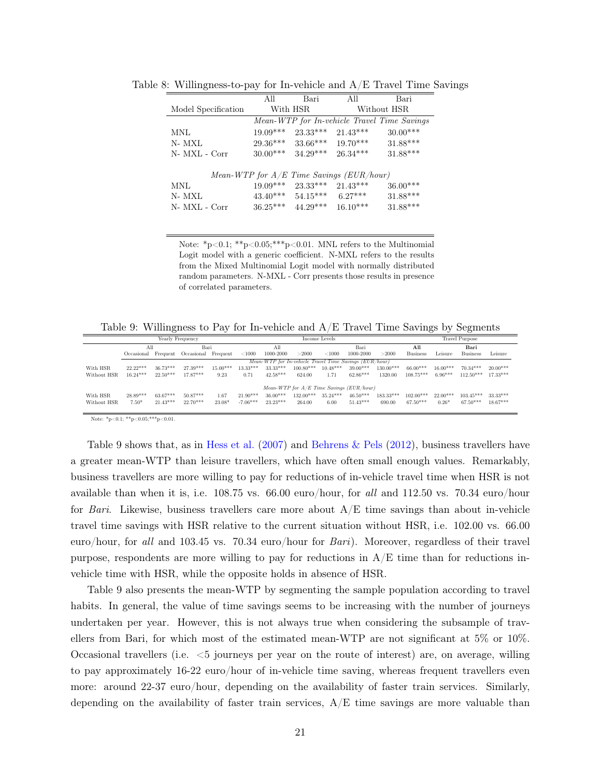|                     | All        | Bari       | All                                        | Bari                                        |
|---------------------|------------|------------|--------------------------------------------|---------------------------------------------|
| Model Specification |            | With HSR   |                                            | Without HSR                                 |
|                     |            |            |                                            | Mean-WTP for In-vehicle Travel Time Savings |
| MNL                 | $19.09***$ | $23.33***$ | $21.43***$                                 | $30.00***$                                  |
| N-MXL               | $29.36***$ |            | $33.66***$ 19.70***                        | $31.88***$                                  |
| N- MXL - Corr       | $30.00***$ | $34.29***$ | $26.34***$                                 | $31.88***$                                  |
|                     |            |            |                                            |                                             |
|                     |            |            | Mean-WTP for $A/E$ Time Savings (EUR/hour) |                                             |
| MNL                 | $19.09***$ |            | $23.33***$ 21.43***                        | $36.00***$                                  |
| N- MXL              | $43.40***$ |            | $54.15***$ 6.27***                         | $31.88^{\ast\ast\ast}$                      |
| N- MXL - Corr       | $36.25***$ | $44.29***$ | $16.10***$                                 | $31.88***$                                  |

<span id="page-21-0"></span>Table 8: Willingness-to-pay for In-vehicle and A/E Travel Time Savings

Note: \*p<0.1; \*\*p<0.05; \*\*\*p<0.01. MNL refers to the Multinomial Logit model with a generic coefficient. N-MXL refers to the results from the Mixed Multinomial Logit model with normally distributed random parameters. N-MXL - Corr presents those results in presence of correlated parameters.

Table 9: Willingness to Pay for In-vehicle and  $A/E$  Travel Time Savings by Segments

|             |            |            | Yearly Frequency    |            |            |            |                                                        | Income Levels |            |             |                 |            | <b>Travel Purpose</b> |            |
|-------------|------------|------------|---------------------|------------|------------|------------|--------------------------------------------------------|---------------|------------|-------------|-----------------|------------|-----------------------|------------|
|             | All        |            | Bari                |            |            | All        |                                                        |               | Bari       |             | All             |            | Bari                  |            |
|             | Occasional | Frequent   | Occasional Frequent |            | $<$ 1000   | 1000-2000  | >2000                                                  | $<$ 1000      | 1000-2000  | >2000       | <b>Business</b> | Leisure    | <b>Business</b>       | Leisure    |
|             |            |            |                     |            |            |            | Mean-WTP for In-vehicle Travel Time Savings (EUR/hour) |               |            |             |                 |            |                       |            |
| With HSR    | $22.22***$ | $36.73***$ | $27.39***$          | $15.00***$ | $13.33***$ | $33.33***$ | $100.80***$                                            | $10.48***$    | $39.00***$ | $130.00***$ | $66.00***$      | $16.00***$ | $70.34***$            | $20.00***$ |
| Without HSR | $16.24***$ | $22.50***$ | $17.87***$          | 9.23       | 0.71       | $42.58***$ | 624.00                                                 | 1.71          | $62.86***$ | 1320.00     | $108.75***$     | $6.96***$  | $112.50***$           | $17.33***$ |
|             |            |            |                     |            |            |            | Mean-WTP for $A/E$ Time Savings (EUR/hour)             |               |            |             |                 |            |                       |            |
| With HSR    | $28.89***$ | $63.67***$ | $50.87***$          | 1.67       | $21.90***$ | $36.00***$ | 132.00***                                              | $35.24***$    | $46.50***$ | $183.33***$ | $102.00***$     | $22.00***$ | $103.45***$           | $33.33***$ |
| Without HSR | $7.50*$    | $21.43***$ | $22.70***$          | $23.08*$   | $-7.06***$ | $23.23***$ | 264.00                                                 | 6.00          | $51.43***$ | 690.00      | $67.50***$      | $0.26*$    | $67.50***$            | $18.67***$ |
|             |            |            |                     |            |            |            |                                                        |               |            |             |                 |            |                       |            |

Note: \*p<0.1; \*\*p<0.05;\*\*\*p<0.01.

Table 9 shows that, as in [Hess et al.](#page-25-0) [\(2007\)](#page-25-0) and [Behrens & Pels](#page-23-0) [\(2012\)](#page-23-0), business travellers have a greater mean-WTP than leisure travellers, which have often small enough values. Remarkably, business travellers are more willing to pay for reductions of in-vehicle travel time when HSR is not available than when it is, i.e. 108.75 vs. 66.00 euro/hour, for all and 112.50 vs. 70.34 euro/hour for Bari. Likewise, business travellers care more about  $A/E$  time savings than about in-vehicle travel time savings with HSR relative to the current situation without HSR, i.e. 102.00 vs. 66.00 euro/hour, for all and 103.45 vs. 70.34 euro/hour for Bari). Moreover, regardless of their travel purpose, respondents are more willing to pay for reductions in  $A/E$  time than for reductions invehicle time with HSR, while the opposite holds in absence of HSR.

Table 9 also presents the mean-WTP by segmenting the sample population according to travel habits. In general, the value of time savings seems to be increasing with the number of journeys undertaken per year. However, this is not always true when considering the subsample of travellers from Bari, for which most of the estimated mean-WTP are not significant at 5% or 10%. Occasional travellers (i.e. <5 journeys per year on the route of interest) are, on average, willing to pay approximately 16-22 euro/hour of in-vehicle time saving, whereas frequent travellers even more: around 22-37 euro/hour, depending on the availability of faster train services. Similarly, depending on the availability of faster train services,  $A/E$  time savings are more valuable than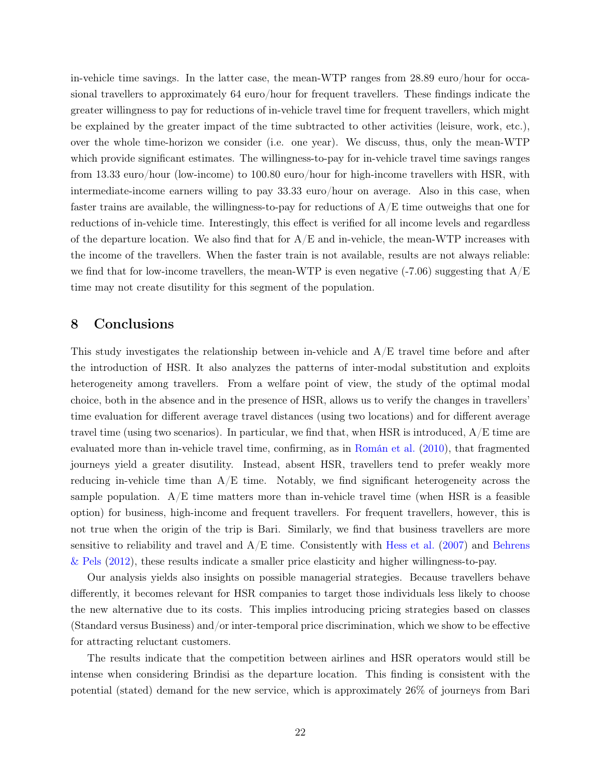in-vehicle time savings. In the latter case, the mean-WTP ranges from 28.89 euro/hour for occasional travellers to approximately 64 euro/hour for frequent travellers. These findings indicate the greater willingness to pay for reductions of in-vehicle travel time for frequent travellers, which might be explained by the greater impact of the time subtracted to other activities (leisure, work, etc.), over the whole time-horizon we consider (i.e. one year). We discuss, thus, only the mean-WTP which provide significant estimates. The willingness-to-pay for in-vehicle travel time savings ranges from 13.33 euro/hour (low-income) to 100.80 euro/hour for high-income travellers with HSR, with intermediate-income earners willing to pay 33.33 euro/hour on average. Also in this case, when faster trains are available, the willingness-to-pay for reductions of  $A/E$  time outweighs that one for reductions of in-vehicle time. Interestingly, this effect is verified for all income levels and regardless of the departure location. We also find that for  $A/E$  and in-vehicle, the mean-WTP increases with the income of the travellers. When the faster train is not available, results are not always reliable: we find that for low-income travellers, the mean-WTP is even negative  $(-7.06)$  suggesting that  $A/E$ time may not create disutility for this segment of the population.

## 8 Conclusions

This study investigates the relationship between in-vehicle and  $A/E$  travel time before and after the introduction of HSR. It also analyzes the patterns of inter-modal substitution and exploits heterogeneity among travellers. From a welfare point of view, the study of the optimal modal choice, both in the absence and in the presence of HSR, allows us to verify the changes in travellers' time evaluation for different average travel distances (using two locations) and for different average travel time (using two scenarios). In particular, we find that, when HSR is introduced,  $A/E$  time are evaluated more than in-vehicle travel time, confirming, as in [Román et al.](#page-26-0) [\(2010\)](#page-26-0), that fragmented journeys yield a greater disutility. Instead, absent HSR, travellers tend to prefer weakly more reducing in-vehicle time than  $A/E$  time. Notably, we find significant heterogeneity across the sample population.  $A/E$  time matters more than in-vehicle travel time (when HSR is a feasible option) for business, high-income and frequent travellers. For frequent travellers, however, this is not true when the origin of the trip is Bari. Similarly, we find that business travellers are more sensitive to reliability and travel and  $A/E$  time. Consistently with [Hess et al.](#page-25-0) [\(2007\)](#page-25-0) and [Behrens](#page-23-0) [& Pels](#page-23-0) [\(2012\)](#page-23-0), these results indicate a smaller price elasticity and higher willingness-to-pay.

Our analysis yields also insights on possible managerial strategies. Because travellers behave differently, it becomes relevant for HSR companies to target those individuals less likely to choose the new alternative due to its costs. This implies introducing pricing strategies based on classes (Standard versus Business) and/or inter-temporal price discrimination, which we show to be effective for attracting reluctant customers.

The results indicate that the competition between airlines and HSR operators would still be intense when considering Brindisi as the departure location. This finding is consistent with the potential (stated) demand for the new service, which is approximately 26% of journeys from Bari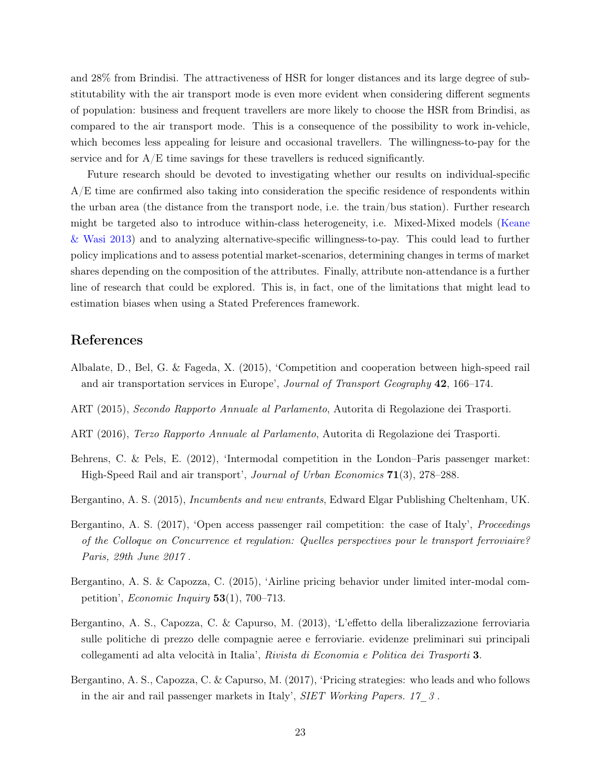<span id="page-23-0"></span>and 28% from Brindisi. The attractiveness of HSR for longer distances and its large degree of substitutability with the air transport mode is even more evident when considering different segments of population: business and frequent travellers are more likely to choose the HSR from Brindisi, as compared to the air transport mode. This is a consequence of the possibility to work in-vehicle, which becomes less appealing for leisure and occasional travellers. The willingness-to-pay for the service and for  $A/E$  time savings for these travellers is reduced significantly.

Future research should be devoted to investigating whether our results on individual-specific A/E time are confirmed also taking into consideration the specific residence of respondents within the urban area (the distance from the transport node, i.e. the train/bus station). Further research might be targeted also to introduce within-class heterogeneity, i.e. Mixed-Mixed models [\(Keane](#page-25-0) [& Wasi](#page-25-0) [2013\)](#page-25-0) and to analyzing alternative-specific willingness-to-pay. This could lead to further policy implications and to assess potential market-scenarios, determining changes in terms of market shares depending on the composition of the attributes. Finally, attribute non-attendance is a further line of research that could be explored. This is, in fact, one of the limitations that might lead to estimation biases when using a Stated Preferences framework.

## References

- Albalate, D., Bel, G. & Fageda, X. (2015), 'Competition and cooperation between high-speed rail and air transportation services in Europe', Journal of Transport Geography 42, 166–174.
- ART (2015), Secondo Rapporto Annuale al Parlamento, Autorita di Regolazione dei Trasporti.
- ART (2016), Terzo Rapporto Annuale al Parlamento, Autorita di Regolazione dei Trasporti.
- Behrens, C. & Pels, E. (2012), 'Intermodal competition in the London–Paris passenger market: High-Speed Rail and air transport', Journal of Urban Economics 71(3), 278–288.
- Bergantino, A. S. (2015), Incumbents and new entrants, Edward Elgar Publishing Cheltenham, UK.
- Bergantino, A. S. (2017), 'Open access passenger rail competition: the case of Italy', Proceedings of the Colloque on Concurrence et regulation: Quelles perspectives pour le transport ferroviaire? Paris, 29th June 2017 .
- Bergantino, A. S. & Capozza, C. (2015), 'Airline pricing behavior under limited inter-modal competition', *Economic Inquiry*  $53(1)$ , 700–713.
- Bergantino, A. S., Capozza, C. & Capurso, M. (2013), 'L'effetto della liberalizzazione ferroviaria sulle politiche di prezzo delle compagnie aeree e ferroviarie. evidenze preliminari sui principali collegamenti ad alta velocità in Italia', Rivista di Economia e Politica dei Trasporti 3.
- Bergantino, A. S., Capozza, C. & Capurso, M. (2017), 'Pricing strategies: who leads and who follows in the air and rail passenger markets in Italy', *SIET Working Papers.* 17<sup>-3</sup>.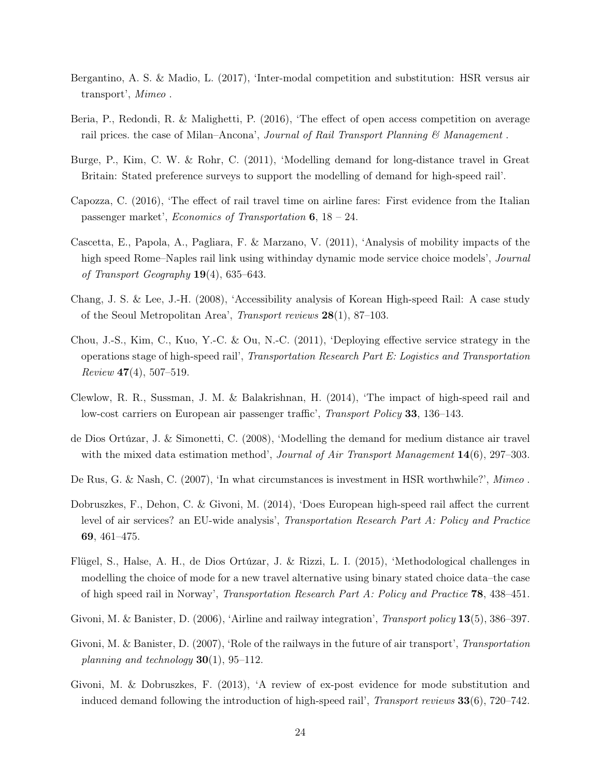- <span id="page-24-0"></span>Bergantino, A. S. & Madio, L. (2017), 'Inter-modal competition and substitution: HSR versus air transport', Mimeo .
- Beria, P., Redondi, R. & Malighetti, P. (2016), 'The effect of open access competition on average rail prices. the case of Milan–Ancona', Journal of Rail Transport Planning  $\mathcal C$  Management.
- Burge, P., Kim, C. W. & Rohr, C. (2011), 'Modelling demand for long-distance travel in Great Britain: Stated preference surveys to support the modelling of demand for high-speed rail'.
- Capozza, C. (2016), 'The effect of rail travel time on airline fares: First evidence from the Italian passenger market', Economics of Transportation  $6, 18 - 24$ .
- Cascetta, E., Papola, A., Pagliara, F. & Marzano, V. (2011), 'Analysis of mobility impacts of the high speed Rome–Naples rail link using withinday dynamic mode service choice models', Journal of Transport Geography  $19(4)$ , 635–643.
- Chang, J. S. & Lee, J.-H. (2008), 'Accessibility analysis of Korean High-speed Rail: A case study of the Seoul Metropolitan Area', Transport reviews 28(1), 87–103.
- Chou, J.-S., Kim, C., Kuo, Y.-C. & Ou, N.-C. (2011), 'Deploying effective service strategy in the operations stage of high-speed rail', Transportation Research Part E: Logistics and Transportation  $Review 47(4), 507-519.$
- Clewlow, R. R., Sussman, J. M. & Balakrishnan, H. (2014), 'The impact of high-speed rail and low-cost carriers on European air passenger traffic', Transport Policy 33, 136–143.
- de Dios Ortúzar, J. & Simonetti, C. (2008), 'Modelling the demand for medium distance air travel with the mixed data estimation method', *Journal of Air Transport Management*  $14(6)$ , 297–303.
- De Rus, G. & Nash, C. (2007), 'In what circumstances is investment in HSR worthwhile?', Mimeo .
- Dobruszkes, F., Dehon, C. & Givoni, M. (2014), 'Does European high-speed rail affect the current level of air services? an EU-wide analysis', Transportation Research Part A: Policy and Practice 69, 461–475.
- Flügel, S., Halse, A. H., de Dios Ortúzar, J. & Rizzi, L. I. (2015), 'Methodological challenges in modelling the choice of mode for a new travel alternative using binary stated choice data–the case of high speed rail in Norway', Transportation Research Part A: Policy and Practice 78, 438–451.
- Givoni, M. & Banister, D. (2006), 'Airline and railway integration', *Transport policy* 13(5), 386–397.
- Givoni, M. & Banister, D. (2007), 'Role of the railways in the future of air transport', Transportation planning and technology  $30(1)$ , 95-112.
- Givoni, M. & Dobruszkes, F. (2013), 'A review of ex-post evidence for mode substitution and induced demand following the introduction of high-speed rail', Transport reviews 33(6), 720–742.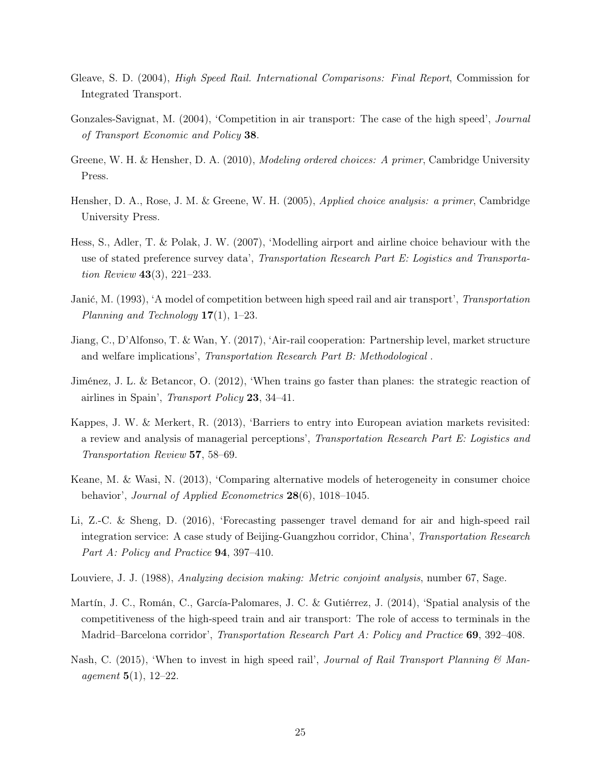- <span id="page-25-0"></span>Gleave, S. D. (2004), High Speed Rail. International Comparisons: Final Report, Commission for Integrated Transport.
- Gonzales-Savignat, M. (2004), 'Competition in air transport: The case of the high speed', Journal of Transport Economic and Policy 38.
- Greene, W. H. & Hensher, D. A. (2010), Modeling ordered choices: A primer, Cambridge University Press.
- Hensher, D. A., Rose, J. M. & Greene, W. H. (2005), Applied choice analysis: a primer, Cambridge University Press.
- Hess, S., Adler, T. & Polak, J. W. (2007), 'Modelling airport and airline choice behaviour with the use of stated preference survey data', Transportation Research Part E: Logistics and Transportation Review 43(3), 221–233.
- Janić, M. (1993), 'A model of competition between high speed rail and air transport', Transportation Planning and Technology  $17(1)$ , 1–23.
- Jiang, C., D'Alfonso, T. & Wan, Y. (2017), 'Air-rail cooperation: Partnership level, market structure and welfare implications', Transportation Research Part B: Methodological .
- Jiménez, J. L. & Betancor, O. (2012), 'When trains go faster than planes: the strategic reaction of airlines in Spain', Transport Policy 23, 34–41.
- Kappes, J. W. & Merkert, R. (2013), 'Barriers to entry into European aviation markets revisited: a review and analysis of managerial perceptions', Transportation Research Part E: Logistics and Transportation Review 57, 58–69.
- Keane, M. & Wasi, N. (2013), 'Comparing alternative models of heterogeneity in consumer choice behavior', Journal of Applied Econometrics 28(6), 1018–1045.
- Li, Z.-C. & Sheng, D. (2016), 'Forecasting passenger travel demand for air and high-speed rail integration service: A case study of Beijing-Guangzhou corridor, China', Transportation Research Part A: Policy and Practice **94**, 397–410.
- Louviere, J. J. (1988), Analyzing decision making: Metric conjoint analysis, number 67, Sage.
- Martín, J. C., Román, C., García-Palomares, J. C. & Gutiérrez, J. (2014), 'Spatial analysis of the competitiveness of the high-speed train and air transport: The role of access to terminals in the Madrid–Barcelona corridor', Transportation Research Part A: Policy and Practice 69, 392–408.
- Nash, C. (2015), 'When to invest in high speed rail', Journal of Rail Transport Planning & Man*agement*  $5(1)$ ,  $12-22$ .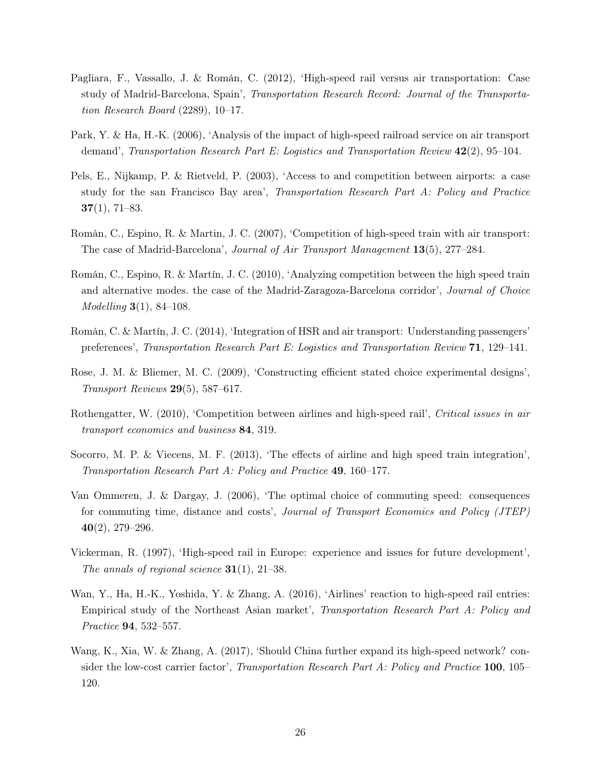- <span id="page-26-0"></span>Pagliara, F., Vassallo, J. & Román, C. (2012), 'High-speed rail versus air transportation: Case study of Madrid-Barcelona, Spain', Transportation Research Record: Journal of the Transportation Research Board (2289), 10–17.
- Park, Y. & Ha, H.-K. (2006), 'Analysis of the impact of high-speed railroad service on air transport demand', Transportation Research Part E: Logistics and Transportation Review 42(2), 95–104.
- Pels, E., Nijkamp, P. & Rietveld, P. (2003), 'Access to and competition between airports: a case study for the san Francisco Bay area', Transportation Research Part A: Policy and Practice  $37(1), 71-83.$
- Román, C., Espino, R. & Martin, J. C. (2007), 'Competition of high-speed train with air transport: The case of Madrid-Barcelona', Journal of Air Transport Management 13(5), 277–284.
- Román, C., Espino, R. & Martín, J. C. (2010), 'Analyzing competition between the high speed train and alternative modes. the case of the Madrid-Zaragoza-Barcelona corridor', Journal of Choice *Modelling* **3**(1), 84–108.
- Román, C. & Martín, J. C. (2014), 'Integration of HSR and air transport: Understanding passengers' preferences', Transportation Research Part E: Logistics and Transportation Review 71, 129–141.
- Rose, J. M. & Bliemer, M. C. (2009), 'Constructing efficient stated choice experimental designs', Transport Reviews 29(5), 587–617.
- Rothengatter, W. (2010), 'Competition between airlines and high-speed rail', Critical issues in air transport economics and business 84, 319.
- Socorro, M. P. & Viecens, M. F. (2013), 'The effects of airline and high speed train integration', Transportation Research Part A: Policy and Practice 49, 160–177.
- Van Ommeren, J. & Dargay, J. (2006), 'The optimal choice of commuting speed: consequences for commuting time, distance and costs', Journal of Transport Economics and Policy (JTEP) 40(2), 279–296.
- Vickerman, R. (1997), 'High-speed rail in Europe: experience and issues for future development', The annals of regional science  $31(1)$ ,  $21-38$ .
- Wan, Y., Ha, H.-K., Yoshida, Y. & Zhang, A. (2016), 'Airlines' reaction to high-speed rail entries: Empirical study of the Northeast Asian market', Transportation Research Part A: Policy and Practice 94, 532–557.
- Wang, K., Xia, W. & Zhang, A. (2017), 'Should China further expand its high-speed network? consider the low-cost carrier factor', Transportation Research Part A: Policy and Practice 100, 105– 120.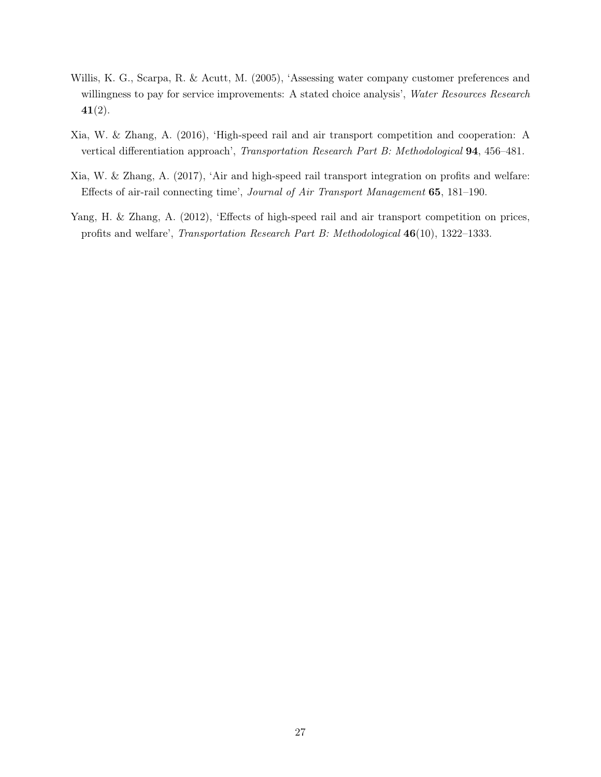- <span id="page-27-0"></span>Willis, K. G., Scarpa, R. & Acutt, M. (2005), 'Assessing water company customer preferences and willingness to pay for service improvements: A stated choice analysis', Water Resources Research  $41(2)$ .
- Xia, W. & Zhang, A. (2016), 'High-speed rail and air transport competition and cooperation: A vertical differentiation approach', Transportation Research Part B: Methodological 94, 456–481.
- Xia, W. & Zhang, A. (2017), 'Air and high-speed rail transport integration on profits and welfare: Effects of air-rail connecting time', Journal of Air Transport Management 65, 181–190.
- Yang, H. & Zhang, A. (2012), 'Effects of high-speed rail and air transport competition on prices, profits and welfare', Transportation Research Part B: Methodological 46(10), 1322–1333.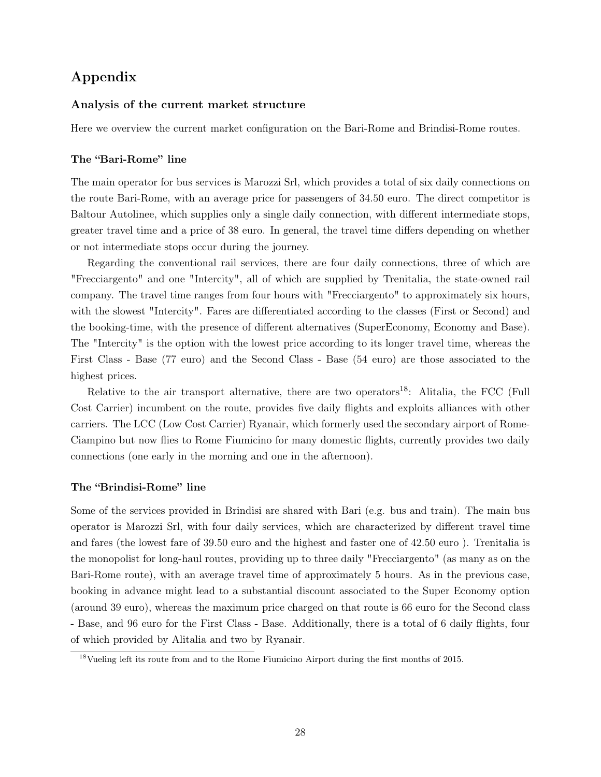## Appendix

#### Analysis of the current market structure

Here we overview the current market configuration on the Bari-Rome and Brindisi-Rome routes.

#### The "Bari-Rome" line

The main operator for bus services is Marozzi Srl, which provides a total of six daily connections on the route Bari-Rome, with an average price for passengers of 34.50 euro. The direct competitor is Baltour Autolinee, which supplies only a single daily connection, with different intermediate stops, greater travel time and a price of 38 euro. In general, the travel time differs depending on whether or not intermediate stops occur during the journey.

Regarding the conventional rail services, there are four daily connections, three of which are "Frecciargento" and one "Intercity", all of which are supplied by Trenitalia, the state-owned rail company. The travel time ranges from four hours with "Frecciargento" to approximately six hours, with the slowest "Intercity". Fares are differentiated according to the classes (First or Second) and the booking-time, with the presence of different alternatives (SuperEconomy, Economy and Base). The "Intercity" is the option with the lowest price according to its longer travel time, whereas the First Class - Base (77 euro) and the Second Class - Base (54 euro) are those associated to the highest prices.

Relative to the air transport alternative, there are two operators<sup>[18](#page-1-0)</sup>: Alitalia, the FCC (Full Cost Carrier) incumbent on the route, provides five daily flights and exploits alliances with other carriers. The LCC (Low Cost Carrier) Ryanair, which formerly used the secondary airport of Rome-Ciampino but now flies to Rome Fiumicino for many domestic flights, currently provides two daily connections (one early in the morning and one in the afternoon).

#### The "Brindisi-Rome" line

Some of the services provided in Brindisi are shared with Bari (e.g. bus and train). The main bus operator is Marozzi Srl, with four daily services, which are characterized by different travel time and fares (the lowest fare of 39.50 euro and the highest and faster one of 42.50 euro ). Trenitalia is the monopolist for long-haul routes, providing up to three daily "Frecciargento" (as many as on the Bari-Rome route), with an average travel time of approximately 5 hours. As in the previous case, booking in advance might lead to a substantial discount associated to the Super Economy option (around 39 euro), whereas the maximum price charged on that route is 66 euro for the Second class - Base, and 96 euro for the First Class - Base. Additionally, there is a total of 6 daily flights, four of which provided by Alitalia and two by Ryanair.

<sup>&</sup>lt;sup>18</sup>Vueling left its route from and to the Rome Fiumicino Airport during the first months of 2015.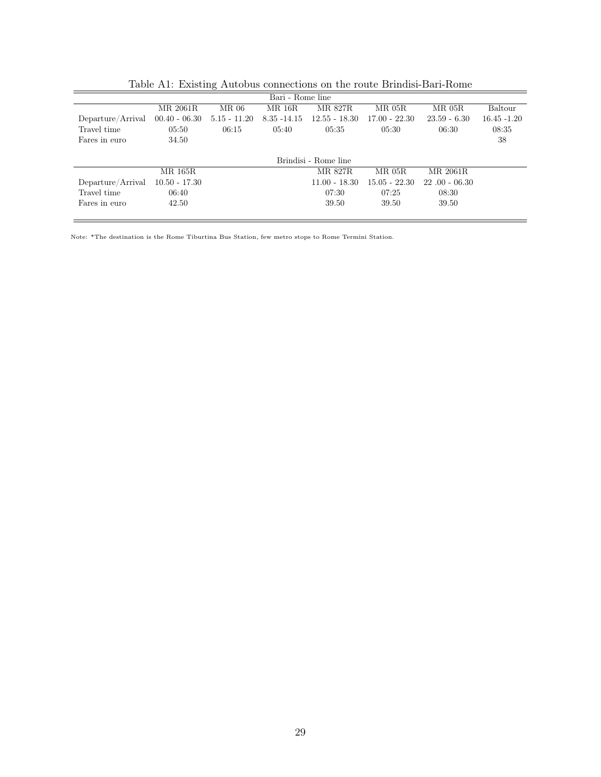|                   |                 |                | Bari - Rome line |                      |                 |                 |                |
|-------------------|-----------------|----------------|------------------|----------------------|-----------------|-----------------|----------------|
|                   | MR 2061R        | MR 06          | MR 16R           | MR 827R              | $MR$ 05 $R$     | MR 05R          | Baltour        |
| Departure/Arrival | $00.40 - 06.30$ | $5.15 - 11.20$ | $8.35 - 14.15$   | $12.55 - 18.30$      | $17.00 - 22.30$ | $23.59 - 6.30$  | $16.45 - 1.20$ |
| Travel time       | 05:50           | 06:15          | 0.5:40           | 05:35                | 05:30           | 06:30           | 08:35          |
| Fares in euro     | 34.50           |                |                  |                      |                 |                 | 38             |
|                   |                 |                |                  |                      |                 |                 |                |
|                   |                 |                |                  | Brindisi - Rome line |                 |                 |                |
|                   | MR 165R         |                |                  | MR 827R              | $MR$ 05 $R$     | MR 2061R        |                |
| Departure/Arrival | $10.50 - 17.30$ |                |                  | $11.00 - 18.30$      | $15.05 - 22.30$ | $22.00 - 06.30$ |                |
| Travel time       | 06:40           |                |                  | 07:30                | 07:25           | 08:30           |                |
| Fares in euro     | 42.50           |                |                  | 39.50                | 39.50           | 39.50           |                |
|                   |                 |                |                  |                      |                 |                 |                |

Table A1: Existing Autobus connections on the route Brindisi-Bari-Rome

Note: \*The destination is the Rome Tiburtina Bus Station, few metro stops to Rome Termini Station.

 $\overline{a}$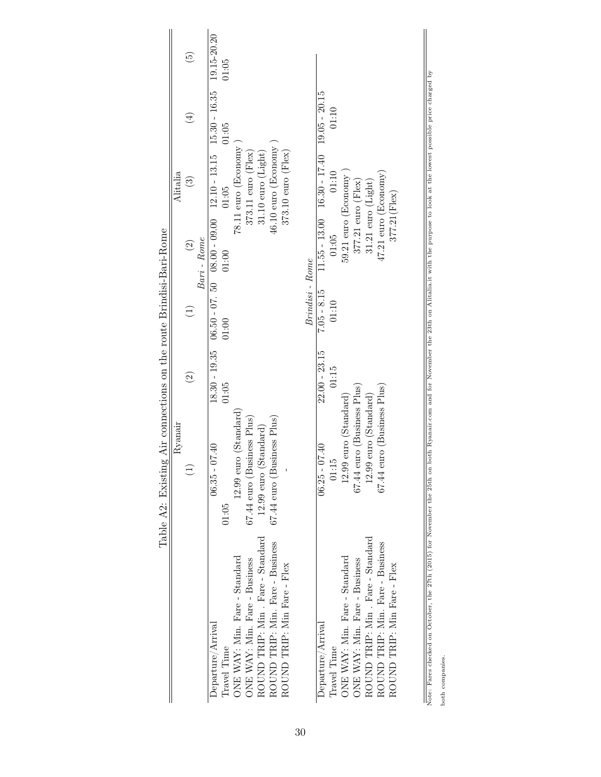|                                  | Ryanair                      |                 |                 |                                                                                 | Alitalia                                        |         |               |
|----------------------------------|------------------------------|-----------------|-----------------|---------------------------------------------------------------------------------|-------------------------------------------------|---------|---------------|
|                                  | $\bigoplus$                  | $\widehat{c}$   | $\bigoplus$     | $\odot$                                                                         | $\odot$                                         | $(\pm)$ | $\widehat{5}$ |
|                                  |                              |                 |                 | Bari - Rome                                                                     |                                                 |         |               |
| $\rm Department/Arrival$         | 07.40<br>$06.35 -$           | $18.30 - 19.35$ |                 | $06.50 - 07.50$ $08.00 - 09.00$ $12.10 - 13.15$ $15.30 - 16.35$ $19.15 - 20.20$ |                                                 |         |               |
| Travel Time                      | 01:05                        | 01:05           | 01:00           | 01:00                                                                           | 01:05                                           | 01:05   | 01:05         |
| ONE WAY: Min. Fare - Standard    | $12.99$ euro (Standard)      |                 |                 |                                                                                 | 78.11 euro (Economy                             |         |               |
| ONE WAY: Min. Fare - Business    | 67.44 euro (Business Plus)   |                 |                 |                                                                                 | 373.11 euro (Flex)                              |         |               |
| ROUND TRIP: Min. Fare - Standard | $12.99$ euro (Standard)      |                 |                 |                                                                                 | 31.10 euro (Light)                              |         |               |
| ROUND TRIP: Min. Fare - Business | $67.44$ euro (Business Plus) |                 |                 |                                                                                 | 46.10 euro (Economy)                            |         |               |
| ROUND TRIP: Min Fare - Flex      |                              |                 |                 |                                                                                 | 373.10 euro (Flex)                              |         |               |
|                                  |                              |                 | Brindisi - Rome |                                                                                 |                                                 |         |               |
| Departure/Arrival                | 07.40<br>$06.25 -$           | $22.00 - 23.15$ | $7.05 - 8.15$   |                                                                                 | $11.55 - 13.00$ $16.30 - 17.40$ $19.05 - 20.15$ |         |               |
| Travel Time                      | IJ<br>01:1                   | 01:15           | 01:10           | 01:05                                                                           | 01:10                                           | 01:10   |               |
| ONE WAY: Min. Fare - Standard    | $12.99$ euro (Standard)      |                 |                 | 59.21 euro (Economy)                                                            |                                                 |         |               |
| ONE WAY: Min. Fare - Business    | 67.44 euro (Business Plus)   |                 |                 | $377.21$ euro (Flex)                                                            |                                                 |         |               |
| ROUND TRIP: Min. Fare - Standard | 12.99 euro (Standard)        |                 |                 | $31.21$ euro (Light)                                                            |                                                 |         |               |
| ROUND TRIP: Min. Fare - Business | 67.44 euro (Business Plus)   |                 |                 | $47.21$ euro (Economy)                                                          |                                                 |         |               |
| ROUND TRIP: Min Fare - Flex      |                              |                 |                 | 377.21 (Flex)                                                                   |                                                 |         |               |
|                                  |                              |                 |                 |                                                                                 |                                                 |         |               |

Table A2: Existing Air connections on the route Brindisi-Bari-Rome Table A2: Existing Air connections on the route Brindisi-Bari-Rome Note: Fares checked on October, the 27th (2015) for November the 25th on both Ryanair.com and for November the 23th on Alitalia.it with the purpose to look at the lowest possible price charged by Note: Fares checked on October, the 27th (2015) for November the 25th on both Ryanair.com and for November the 23th on Alitalia.it with the purpose to look at the lowest possible price charged by both companies. both companies.

30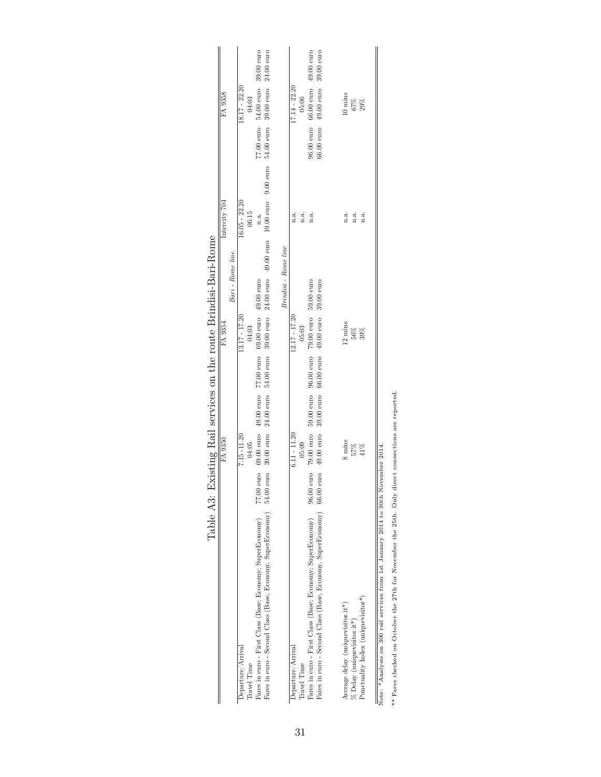|                                                            | Table A3: Existing Rail services on the route Brindisi-Bari-Rome                 |            |                                  |                                            |                 |                          |                                  |  |
|------------------------------------------------------------|----------------------------------------------------------------------------------|------------|----------------------------------|--------------------------------------------|-----------------|--------------------------|----------------------------------|--|
|                                                            | FA 9350                                                                          |            | FA 9354                          |                                            | Intercity 704   | FA 9358                  |                                  |  |
|                                                            |                                                                                  |            |                                  | Bari - Rome line                           |                 |                          |                                  |  |
| Departure/Arrival                                          | $7.15 - 11.20$                                                                   |            | 13.17 - 17.20                    |                                            | $16.05 - 22.20$ | $18.17 - 22.20$          |                                  |  |
| Iravel Time                                                | 04:05                                                                            |            | 04:03                            |                                            | 06:15           | 04:03                    |                                  |  |
| Fares in euro - First Class (Base; Economy; SuperEconomy)  | 69.00 euro 49.00 euro<br>77.00 euro                                              |            | 77.00 euro 69.00 euro 49.00 euro |                                            | n.a.            |                          | 77.00 euro 54.00 euro 39.00 euro |  |
| Fares in euro - Second Class (Base, Economy, SuperEconomy) | 24.00 euro<br>$39.00$ euro<br>54.00 euro                                         |            | 54.00 euro 39.00 euro            | 24.00 euro 49.00 euro 19.00 euro 9.00 euro |                 | 39.00 euro<br>54.00 euro | 24.00 euro                       |  |
|                                                            |                                                                                  |            |                                  | Brindisi - Rome line                       |                 |                          |                                  |  |
| Departure/Arrival                                          | $6.11 - 11.20$                                                                   |            | $12.17 - 17.20$                  |                                            | n.a.            | $17.14 - 22.20$          |                                  |  |
| Travel Time                                                | 05:09                                                                            |            | 05:03                            |                                            | n.a.            | 05:06                    |                                  |  |
| Fares in euro - First Class (Base; Economy; SuperEconomy)  | 59.00 euro<br>79.00 euro<br>96.00 euro                                           | 96.00 euro | $79.00$ euro                     | 59.00 euro                                 | n.a.            | 66.00 euro<br>96.00 euro | 49.00 euro                       |  |
| Fares in euro - Second Class (Base, Economy, SuperEconomy) | 39.00 euro<br>$49.00$ euro<br>$66.00$ $\mathrm{e}\mathrm{u}\mathrm{r}\mathrm{o}$ | 66.00 euro | $49.00$ ${\rm euro}$             | 39.00 euro                                 |                 | 49.00 euro<br>66.00 euro | 39.00 euro                       |  |
|                                                            |                                                                                  |            |                                  |                                            |                 |                          |                                  |  |
| Average delay (uniquevisitor.it*)                          | 8 mins                                                                           |            | $12 \text{ mins}$                |                                            | n.a.            | $10 \text{ mins}$        |                                  |  |
| % Delay (uniquevisitor.it*)                                | 57%                                                                              |            | 56%                              |                                            | n.a.            | $67\%$                   |                                  |  |
| Punctuality Index (uniquevisitor*)                         | 41%                                                                              |            | 39%                              |                                            | n.a.            | $29\%$                   |                                  |  |
|                                                            |                                                                                  |            |                                  |                                            |                 |                          |                                  |  |

| $\overline{\phantom{a}}$                                                                            |  |
|-----------------------------------------------------------------------------------------------------|--|
| $\mathfrak{c}$                                                                                      |  |
| l                                                                                                   |  |
| יי<br>ר                                                                                             |  |
| ĺ                                                                                                   |  |
| l                                                                                                   |  |
|                                                                                                     |  |
|                                                                                                     |  |
| ֧֧֧֧ׅ֧֧֧֧֧ׅ֧֛֧֧֧֛֪ׅ֛֪֛֪֛֛֛֪֛֛֛֚֚֚֚֚֚֚֚֚֚֚֡֝֓֕֓֝֓֝֓֝֓֝֬֝֬֝֬֝֬֝֬֝֬֜֓֝֬֝֬֝֬<br>֧֛֛֛֛֛֛֛֛֛֛֛֛֜֜֜֜֜֜֜֜֜֜ |  |
|                                                                                                     |  |
| - Christian Call Color Color<br>$\vdots$                                                            |  |
|                                                                                                     |  |
|                                                                                                     |  |
|                                                                                                     |  |
|                                                                                                     |  |
| $\frac{1}{2}$                                                                                       |  |
|                                                                                                     |  |
|                                                                                                     |  |
|                                                                                                     |  |
|                                                                                                     |  |
|                                                                                                     |  |
|                                                                                                     |  |
| .<br>ר<br>$\frac{1}{2}$<br>֚֚֚֚֓<br>֧֚֚֚֚֚֝֝֝<br>֧ <u>֚</u>                                         |  |
|                                                                                                     |  |
|                                                                                                     |  |
| ֧ׅ֧ׅ֧ׅ֧ׅ֧ׅ֧֧ׅ֧ׅ֧ׅ֧ׅ֧ׅ֧ׅ֧֧֧֧֧֛֛֛֪֛֛֛֛֛֧֧֚֚֚֚֚֚֚֚֚֚֚֚֚֚֚֚֚֚֚֚֚֚֝֟֜֜֝֜֝֜֝֬֜֜֜֓֜֜֜֜֝֬֝֜֝֜֝֜֜֝           |  |
|                                                                                                     |  |
| ı                                                                                                   |  |
|                                                                                                     |  |
|                                                                                                     |  |
| $\mathbf{i}$                                                                                        |  |
|                                                                                                     |  |
| $\overline{a}$                                                                                      |  |
|                                                                                                     |  |
| $\overline{\phantom{a}}$                                                                            |  |

Note: \*Analysis on 300 rail services from 1st January 2014 to 30th November 2014. Note: \*Analysis on 300 rail services from 1st January 2014 to 30th November 2014.

\*\* Fares checked on October the 27th for November the 25th. Only direct connections are reported. \*\* Fares checked on October the 27th for November the 25th. Only direct connections are reported.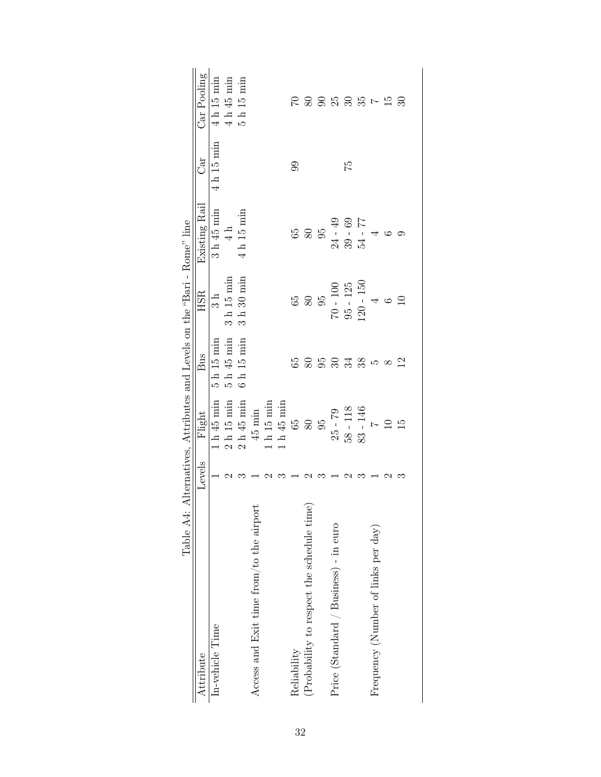| Table A4:                                  |        |                                                                                                                |                           | Alternatives, Attributes and Levels on the "Bari - Rome" line |                                                                                                                                                                                                                                                                                                                                                                                        |            |                                                                                            |
|--------------------------------------------|--------|----------------------------------------------------------------------------------------------------------------|---------------------------|---------------------------------------------------------------|----------------------------------------------------------------------------------------------------------------------------------------------------------------------------------------------------------------------------------------------------------------------------------------------------------------------------------------------------------------------------------------|------------|--------------------------------------------------------------------------------------------|
| Attribute                                  | Levels | Flight                                                                                                         | Bus                       | HSR                                                           | $\begin{tabular}{ll} \multicolumn{1}{l}{{\rm Existing~Rail} \hline \hspace{1.2cm}{{\small\bf{Rail}}\hline \hspace{1.5cm}}\hspace{1.5cm} }\\ \hspace{1.5cm} \multicolumn{1}{l}{\textbf{B}} & \multicolumn{1}{l}{\textbf{A5~mail}} \end{tabular} \vspace{0.05in} \begin{tabular}{ll} \multicolumn{1}{l}{\textbf{B}} \\ \multicolumn{1}{l}{\textbf{A5~mail}} \end{tabular} \end{tabular}$ | Car        | Car Pooling                                                                                |
| In-vehicle Time                            |        | 1 h 45 min                                                                                                     | 5 h 15 min                | $\frac{1}{3}$ h                                               |                                                                                                                                                                                                                                                                                                                                                                                        | 4 h 15 min |                                                                                            |
|                                            |        |                                                                                                                | $5$ h 45 min $6$ h 15 min | $3$ h $15$ min $3$ h $30$ min                                 | $\begin{array}{c} 4 \text{ h} \\ 4 \text{ h} \text{ 15 min} \end{array}$                                                                                                                                                                                                                                                                                                               |            | $\begin{array}{c} \hbox{4 h 15 min} \\ \hbox{4 h 45 min} \\ \hbox{5 h 15 min} \end{array}$ |
|                                            |        | $2$ h 15 min $2$ h 45 min                                                                                      |                           |                                                               |                                                                                                                                                                                                                                                                                                                                                                                        |            |                                                                                            |
| Access and Exit time from/to the airport   |        | $45$ $\min$                                                                                                    |                           |                                                               |                                                                                                                                                                                                                                                                                                                                                                                        |            |                                                                                            |
|                                            |        |                                                                                                                |                           |                                                               |                                                                                                                                                                                                                                                                                                                                                                                        |            |                                                                                            |
|                                            |        |                                                                                                                |                           |                                                               |                                                                                                                                                                                                                                                                                                                                                                                        |            |                                                                                            |
| Reliability                                |        | $\begin{array}{c} 1 \text{ h } 15 \text{ min} \\ 1 \text{ h } 45 \text{ min} \\ 65 \\ 80 \\ 80 \\ \end{array}$ | 39                        | 65                                                            |                                                                                                                                                                                                                                                                                                                                                                                        | 99         |                                                                                            |
| (Probability to respect the schedule time) |        |                                                                                                                | $\infty$                  | 80 50                                                         | 688                                                                                                                                                                                                                                                                                                                                                                                    |            | 2 8 9 3 9 3 5 7 5                                                                          |
|                                            |        |                                                                                                                | 95                        |                                                               |                                                                                                                                                                                                                                                                                                                                                                                        |            |                                                                                            |
| Price (Standard / Business) - in euro      |        |                                                                                                                | 37.38                     |                                                               | 24 - 49                                                                                                                                                                                                                                                                                                                                                                                |            |                                                                                            |
|                                            |        | $25 - 79$<br>$58 - 118$<br>$83 - 146$                                                                          |                           | $70 - 100$<br>$95 - 125$<br>$120 - 150$                       |                                                                                                                                                                                                                                                                                                                                                                                        | 52         |                                                                                            |
|                                            |        |                                                                                                                |                           |                                                               | $39 - 69$<br>$54 - 77$                                                                                                                                                                                                                                                                                                                                                                 |            |                                                                                            |
| Frequency (Number of links per day)        |        |                                                                                                                |                           |                                                               |                                                                                                                                                                                                                                                                                                                                                                                        |            |                                                                                            |
|                                            |        | $10\,$                                                                                                         | ro 00                     |                                                               | ం                                                                                                                                                                                                                                                                                                                                                                                      |            |                                                                                            |
|                                            |        | 15                                                                                                             |                           |                                                               |                                                                                                                                                                                                                                                                                                                                                                                        |            | 50                                                                                         |
|                                            |        |                                                                                                                |                           |                                                               |                                                                                                                                                                                                                                                                                                                                                                                        |            |                                                                                            |

|  | ' Levels on the "Bari - Rome" |
|--|-------------------------------|
|  |                               |
|  |                               |
|  |                               |
|  |                               |
|  |                               |
|  |                               |
|  |                               |
|  |                               |
|  |                               |
|  |                               |
|  |                               |
|  |                               |
|  |                               |
|  |                               |
|  |                               |
|  |                               |
|  |                               |
|  |                               |
|  |                               |
|  |                               |
|  |                               |
|  |                               |
|  |                               |
|  |                               |
|  |                               |
|  |                               |
|  |                               |
|  |                               |
|  |                               |
|  |                               |
|  |                               |
|  |                               |
|  |                               |
|  |                               |
|  |                               |
|  |                               |
|  |                               |
|  |                               |
|  |                               |
|  |                               |
|  |                               |
|  |                               |
|  |                               |
|  |                               |
|  |                               |
|  |                               |
|  |                               |
|  |                               |
|  |                               |
|  |                               |
|  |                               |
|  | Attributes and                |
|  |                               |
|  |                               |
|  |                               |
|  |                               |
|  |                               |
|  |                               |
|  |                               |
|  |                               |
|  |                               |
|  |                               |
|  |                               |
|  |                               |
|  |                               |
|  |                               |
|  |                               |
|  |                               |
|  |                               |
|  |                               |
|  |                               |
|  |                               |
|  |                               |
|  |                               |
|  |                               |
|  |                               |
|  |                               |
|  |                               |
|  |                               |
|  | $AA:$ Alternatives            |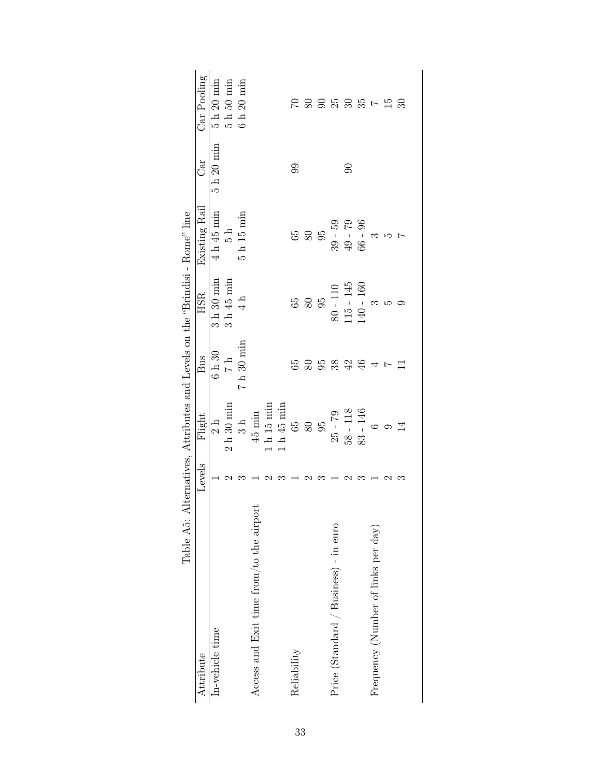| Table A5: Alternatives, Attributes and Levels on the "Brindisi - Rome" line |        |                                                                                                                                  |                         |                                                                                                    |                                                                             |           |                                                                                                                                                                                   |
|-----------------------------------------------------------------------------|--------|----------------------------------------------------------------------------------------------------------------------------------|-------------------------|----------------------------------------------------------------------------------------------------|-----------------------------------------------------------------------------|-----------|-----------------------------------------------------------------------------------------------------------------------------------------------------------------------------------|
| Attribute                                                                   | Levels | Flight                                                                                                                           | Bus                     | <b>HSR</b>                                                                                         | Existing Rail                                                               |           | $\begin{array}{r} \text{Car} \ \hline \text{Car Pooling} \ \hline \text{5 h 20 min} \ \hline \text{5 h 20 min} \ \hline \text{5 h 50 min} \ \hline \text{6 h 20 min} \end{array}$ |
| In-vehicle time                                                             |        | $\frac{1}{2}h$                                                                                                                   | $\overline{6}$ h 30     |                                                                                                    |                                                                             | $5h20min$ |                                                                                                                                                                                   |
|                                                                             |        |                                                                                                                                  | $\rm _H$ Z              |                                                                                                    |                                                                             |           |                                                                                                                                                                                   |
|                                                                             |        | $2$ h $30$ min $3$ h                                                                                                             | $7$ h $30~\mathrm{min}$ | $\begin{array}{c c} \hline 3\,h\ 30\ \hline 1 \\ 3\ h\ 45\ \hline 1 \\ 4\ h \\ \hline \end{array}$ | $\begin{tabular}{cc} 1 & 4 h 45 min \\ 1 & 5 h \\ 5 h 15 min \end{tabular}$ |           |                                                                                                                                                                                   |
| Access and Exit time from/to the airport                                    |        |                                                                                                                                  |                         |                                                                                                    |                                                                             |           |                                                                                                                                                                                   |
|                                                                             |        |                                                                                                                                  |                         |                                                                                                    |                                                                             |           |                                                                                                                                                                                   |
|                                                                             |        |                                                                                                                                  |                         |                                                                                                    |                                                                             |           |                                                                                                                                                                                   |
| Reliability                                                                 |        | $\begin{array}{c} 45 \text{ min} \\ 1 \text{ h } 15 \text{ min} \\ 1 \text{ h } 45 \text{ min} \\ 65 \\ 80 \\ 80 \\ \end{array}$ | 89                      |                                                                                                    |                                                                             | 99        |                                                                                                                                                                                   |
|                                                                             |        |                                                                                                                                  | 80                      | 6<br>8<br>8<br>8<br>8                                                                              | <b>888</b>                                                                  |           |                                                                                                                                                                                   |
|                                                                             |        |                                                                                                                                  |                         |                                                                                                    |                                                                             |           |                                                                                                                                                                                   |
| Price (Standard / Business) - in euro                                       |        |                                                                                                                                  | 53246                   |                                                                                                    |                                                                             |           | 28838375                                                                                                                                                                          |
|                                                                             |        |                                                                                                                                  |                         |                                                                                                    | $39 - 59$<br>$49 - 79$<br>$66 - 96$                                         | Z         |                                                                                                                                                                                   |
|                                                                             |        | $25 - 79$<br>$58 - 118$<br>$83 - 146$<br>$6$<br>9                                                                                |                         | $\frac{80 - 110}{115 - 145}$<br>115 - 145                                                          |                                                                             |           |                                                                                                                                                                                   |
| Frequency (Number of links per day)                                         |        |                                                                                                                                  |                         |                                                                                                    | $\mathfrak{S}$                                                              |           |                                                                                                                                                                                   |
|                                                                             |        |                                                                                                                                  |                         |                                                                                                    | IJ                                                                          |           |                                                                                                                                                                                   |
|                                                                             |        | 14                                                                                                                               |                         |                                                                                                    |                                                                             |           |                                                                                                                                                                                   |
|                                                                             |        |                                                                                                                                  |                         |                                                                                                    |                                                                             |           |                                                                                                                                                                                   |

| : A ternatives. Attributes and levels on the "Brindisi |
|--------------------------------------------------------|
|                                                        |
|                                                        |
|                                                        |
|                                                        |
|                                                        |
|                                                        |
|                                                        |
|                                                        |
|                                                        |
|                                                        |
|                                                        |
|                                                        |
|                                                        |
|                                                        |
|                                                        |
|                                                        |
|                                                        |
|                                                        |
|                                                        |
|                                                        |
|                                                        |
|                                                        |
|                                                        |
|                                                        |
|                                                        |
|                                                        |
|                                                        |
|                                                        |
|                                                        |
|                                                        |
|                                                        |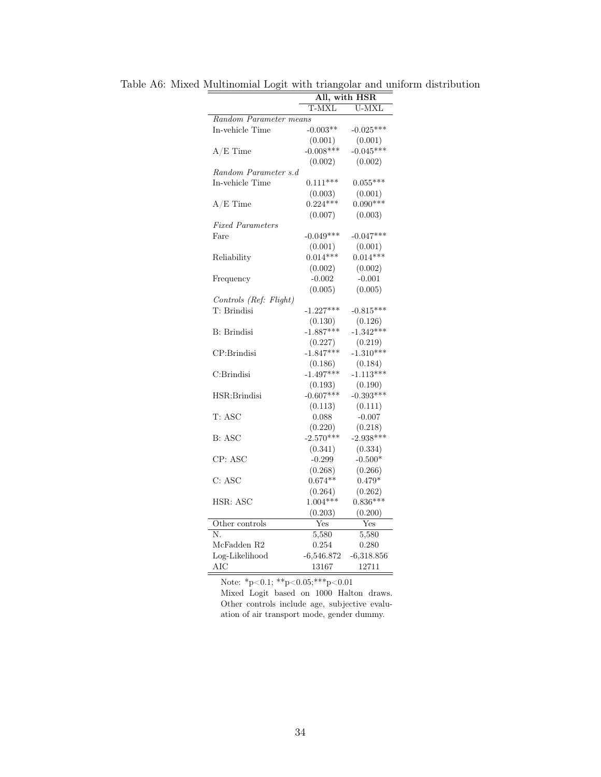|                              | All, with HSR             |              |  |  |  |
|------------------------------|---------------------------|--------------|--|--|--|
|                              | T-MXL                     | U-MXL        |  |  |  |
| Random Parameter means       |                           |              |  |  |  |
| In-vehicle Time              | $-0.003**$                | $-0.025***$  |  |  |  |
|                              | (0.001)                   | (0.001)      |  |  |  |
| $\mathrm{A}/\mathrm{E}$ Time | $-0.008***$               | $-0.045***$  |  |  |  |
|                              | (0.002)                   | (0.002)      |  |  |  |
| Random Parameter s.d         |                           |              |  |  |  |
| In-vehicle Time              | $0.111***$                | $0.055***$   |  |  |  |
|                              | (0.003)                   | (0.001)      |  |  |  |
| $A/E$ Time                   | $0.224***$                | $0.090***$   |  |  |  |
|                              | (0.007)                   | (0.003)      |  |  |  |
| <b>Fixed Parameters</b>      |                           |              |  |  |  |
| Fare                         | $-0.049***$               | $-0.047***$  |  |  |  |
|                              | (0.001)                   | (0.001)      |  |  |  |
| Reliability                  | $0.014***$                | $0.014***$   |  |  |  |
|                              | (0.002)                   | (0.002)      |  |  |  |
| Frequency                    | $-0.002$                  | $-0.001$     |  |  |  |
|                              | (0.005)                   | (0.005)      |  |  |  |
| Controls (Ref: Flight)       |                           |              |  |  |  |
| T: Brindisi                  | $-1.227***$               | $-0.815***$  |  |  |  |
|                              | (0.130)                   | (0.126)      |  |  |  |
| <b>B</b> : Brindisi          | $-1.887***$               | $-1.342***$  |  |  |  |
|                              | (0.227)                   | (0.219)      |  |  |  |
| CP:Brindisi                  | $-1.847***$               | $-1.310***$  |  |  |  |
|                              | (0.186)                   | (0.184)      |  |  |  |
| C:Brindisi                   | $-1.497***$               | $-1.113***$  |  |  |  |
|                              | (0.193)                   | (0.190)      |  |  |  |
| HSR:Brindisi                 | $-0.607***$               | $-0.393***$  |  |  |  |
|                              | (0.113)                   | (0.111)      |  |  |  |
| T: ASC                       | 0.088                     | $-0.007$     |  |  |  |
|                              | (0.220)                   | (0.218)      |  |  |  |
| B: ASC                       | $-2.570***$               | $-2.938***$  |  |  |  |
|                              | (0.341)                   | (0.334)      |  |  |  |
| CP: ASC                      | $-0.299$                  | $-0.500*$    |  |  |  |
|                              | (0.268)                   | (0.266)      |  |  |  |
| C: ASC                       | $0.674**$                 | $0.479*$     |  |  |  |
|                              | (0.264)                   | (0.262)      |  |  |  |
| HSR: ASC                     | $1.004***$                | $0.836***$   |  |  |  |
|                              | (0.203)                   | (0.200)      |  |  |  |
| Other controls               | $\overline{\mathrm{Yes}}$ | Yes          |  |  |  |
| N.                           | 5,580                     | 5,580        |  |  |  |
| McFadden R2                  | 0.254                     | 0.280        |  |  |  |
| Log-Likelihood               | $-6,546.872$              | $-6,318.856$ |  |  |  |
| AІC                          | 13167                     | 12711        |  |  |  |

Table A6: Mixed Multinomial Logit with triangolar and uniform distribution

Note: \*p<0.1; \*\*p<0.05; \*\*\*p<0.01 Mixed Logit based on 1000 Halton draws. Other controls include age, subjective evaluation of air transport mode, gender dummy.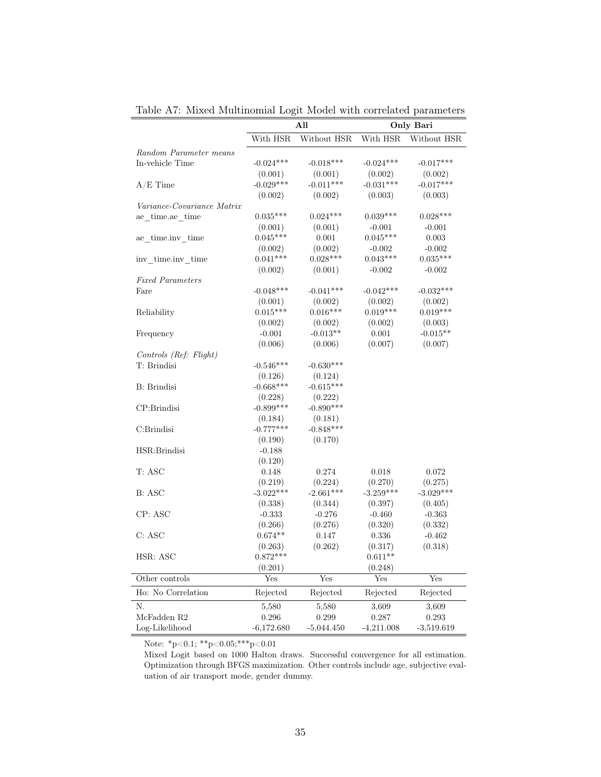|                                   | All<br>Only Bari |              |              |              |
|-----------------------------------|------------------|--------------|--------------|--------------|
|                                   | With HSR         | Without HSR  | With HSR     | Without HSR  |
| Random Parameter means            |                  |              |              |              |
| In-vehicle Time                   | $-0.024***$      | $-0.018***$  | $-0.024***$  | $-0.017***$  |
|                                   | (0.001)          | (0.001)      | (0.002)      | (0.002)      |
| $A/E$ Time                        | $-0.029***$      | $-0.011***$  | $-0.031***$  | $-0.017***$  |
|                                   | (0.002)          | (0.002)      | (0.003)      | (0.003)      |
| <i>Variance-Covariance Matrix</i> |                  |              |              |              |
| ae_time.ae_time                   | $0.035***$       | $0.024***$   | $0.039***$   | $0.028***$   |
|                                   | (0.001)          | (0.001)      | $-0.001$     | $-0.001$     |
| ae time.inv time                  | $0.045***$       | 0.001        | $0.045***$   | 0.003        |
|                                   | (0.002)          | (0.002)      | $-0.002$     | $-0.002$     |
| inv time.inv time                 | $0.041***$       | $0.028***$   | $0.043***$   | $0.035***$   |
|                                   | (0.002)          | (0.001)      | $-0.002$     | $-0.002$     |
| <b>Fixed Parameters</b>           |                  |              |              |              |
| Fare                              | $-0.048***$      | $-0.041***$  | $-0.042***$  | $-0.032***$  |
|                                   | (0.001)          | (0.002)      | (0.002)      | (0.002)      |
| Reliability                       | $0.015***$       | $0.016***$   | $0.019***$   | $0.019***$   |
|                                   | (0.002)          | (0.002)      | (0.002)      | (0.003)      |
| Frequency                         | $-0.001$         | $-0.013**$   | 0.001        | $-0.015**$   |
|                                   | (0.006)          | (0.006)      | (0.007)      | (0.007)      |
| Controls (Ref: Flight)            |                  |              |              |              |
| T: Brindisi                       | $-0.546***$      | $-0.630***$  |              |              |
|                                   | (0.126)          | (0.124)      |              |              |
| B: Brindisi                       | $-0.668***$      | $-0.615***$  |              |              |
|                                   | (0.228)          | (0.222)      |              |              |
| CP:Brindisi                       | $-0.899***$      | $-0.890***$  |              |              |
|                                   | (0.184)          | (0.181)      |              |              |
| C:Brindisi                        | $-0.777***$      | $-0.848***$  |              |              |
|                                   | (0.190)          | (0.170)      |              |              |
| HSR:Brindisi                      | $-0.188$         |              |              |              |
|                                   | (0.120)          |              |              |              |
| T: ASC                            | 0.148            | 0.274        | 0.018        | 0.072        |
|                                   | (0.219)          | (0.224)      | (0.270)      | (0.275)      |
| B: ASC                            | $-3.022***$      | $-2.661***$  | $-3.259***$  | $-3.029***$  |
|                                   | (0.338)          | (0.344)      | (0.397)      | (0.405)      |
| CP: ASC                           | $-0.333$         | $-0.276$     | $-0.460$     | $-0.363$     |
|                                   | (0.266)          | (0.276)      | (0.320)      | (0.332)      |
| C: ASC                            | $0.674**$        | 0.147        | 0.336        | $-0.462$     |
|                                   | (0.263)          | (0.262)      | (0.317)      | (0.318)      |
| HSR: ASC                          | $0.872***$       |              | $0.611**$    |              |
|                                   | (0.201)          |              | (0.248)      |              |
| Other controls                    | Yes              | Yes          | Yes          | Yes          |
| Ho: No Correlation                | Rejected         | Rejected     | Rejected     | Rejected     |
| N.                                | 5,580            | 5,580        | 3,609        | 3,609        |
| $\operatorname{McFadden}$ R2      | 0.296            | 0.299        | 0.287        | $0.293\,$    |
| Log-Likelihood                    | $-6,172.680$     | $-5,044.450$ | $-4,211.008$ | $-3,519.619$ |

Table A7: Mixed Multinomial Logit Model with correlated parameters

Note: \*p<0.1; \*\*p<0.05;\*\*\*p<0.01

Mixed Logit based on 1000 Halton draws. Successful convergence for all estimation. Optimization through BFGS maximization. Other controls include age, subjective evaluation of air transport mode, gender dummy.